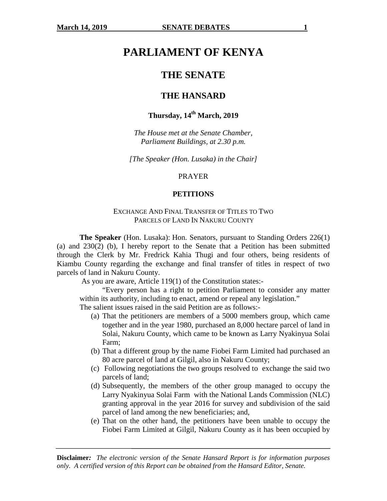# **PARLIAMENT OF KENYA**

# **THE SENATE**

### **THE HANSARD**

# **Thursday, 14th March, 2019**

*The House met at the Senate Chamber, Parliament Buildings, at 2.30 p.m.* 

*[The Speaker (Hon. Lusaka) in the Chair]* 

#### PRAYER

#### **PETITIONS**

#### EXCHANGE AND FINAL TRANSFER OF TITLES TO TWO PARCELS OF LAND IN NAKURU COUNTY

**The Speaker** (Hon. Lusaka): Hon. Senators, pursuant to Standing Orders 226(1) (a) and 230(2) (b), I hereby report to the Senate that a Petition has been submitted through the Clerk by Mr. Fredrick Kahia Thugi and four others, being residents of Kiambu County regarding the exchange and final transfer of titles in respect of two parcels of land in Nakuru County.

As you are aware, Article 119(1) of the Constitution states:-

"Every person has a right to petition Parliament to consider any matter within its authority, including to enact, amend or repeal any legislation."

The salient issues raised in the said Petition are as follows:-

- (a) That the petitioners are members of a 5000 members group, which came together and in the year 1980, purchased an 8,000 hectare parcel of land in Solai, Nakuru County, which came to be known as Larry Nyakinyua Solai Farm;
- (b) That a different group by the name Fiobei Farm Limited had purchased an 80 acre parcel of land at Gilgil, also in Nakuru County;
- (c) Following negotiations the two groups resolved to exchange the said two parcels of land;
- (d) Subsequently, the members of the other group managed to occupy the Larry Nyakinyua Solai Farm with the National Lands Commission (NLC) granting approval in the year 2016 for survey and subdivision of the said parcel of land among the new beneficiaries; and,
- (e) That on the other hand, the petitioners have been unable to occupy the Fiobei Farm Limited at Gilgil, Nakuru County as it has been occupied by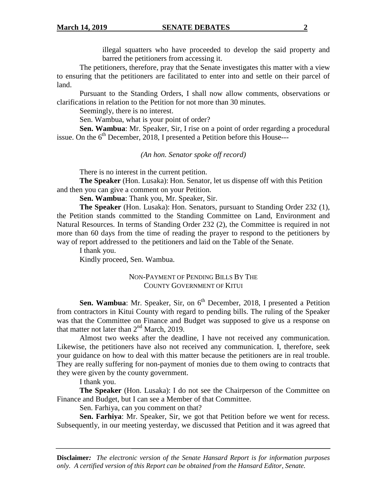illegal squatters who have proceeded to develop the said property and barred the petitioners from accessing it.

The petitioners, therefore, pray that the Senate investigates this matter with a view to ensuring that the petitioners are facilitated to enter into and settle on their parcel of land.

Pursuant to the Standing Orders, I shall now allow comments, observations or clarifications in relation to the Petition for not more than 30 minutes.

Seemingly, there is no interest.

Sen. Wambua, what is your point of order?

**Sen. Wambua**: Mr. Speaker, Sir, I rise on a point of order regarding a procedural issue. On the  $6<sup>th</sup>$  December, 2018, I presented a Petition before this House---

*(An hon. Senator spoke off record)* 

There is no interest in the current petition.

**The Speaker** (Hon. Lusaka): Hon. Senator, let us dispense off with this Petition and then you can give a comment on your Petition.

**Sen. Wambua**: Thank you, Mr. Speaker, Sir.

**The Speaker** (Hon. Lusaka): Hon. Senators, pursuant to Standing Order 232 (1), the Petition stands committed to the Standing Committee on Land, Environment and Natural Resources. In terms of Standing Order 232 (2), the Committee is required in not more than 60 days from the time of reading the prayer to respond to the petitioners by way of report addressed to the petitioners and laid on the Table of the Senate.

 I thank you. Kindly proceed, Sen. Wambua.

### NON-PAYMENT OF PENDING BILLS BY THE COUNTY GOVERNMENT OF KITUI

**Sen. Wambua**: Mr. Speaker, Sir, on 6<sup>th</sup> December, 2018, I presented a Petition from contractors in Kitui County with regard to pending bills. The ruling of the Speaker was that the Committee on Finance and Budget was supposed to give us a response on that matter not later than  $2<sup>nd</sup>$  March, 2019.

Almost two weeks after the deadline, I have not received any communication. Likewise, the petitioners have also not received any communication. I, therefore, seek your guidance on how to deal with this matter because the petitioners are in real trouble. They are really suffering for non-payment of monies due to them owing to contracts that they were given by the county government.

I thank you.

**The Speaker** (Hon. Lusaka): I do not see the Chairperson of the Committee on Finance and Budget, but I can see a Member of that Committee.

Sen. Farhiya, can you comment on that?

**Sen. Farhiya**: Mr. Speaker, Sir, we got that Petition before we went for recess. Subsequently, in our meeting yesterday, we discussed that Petition and it was agreed that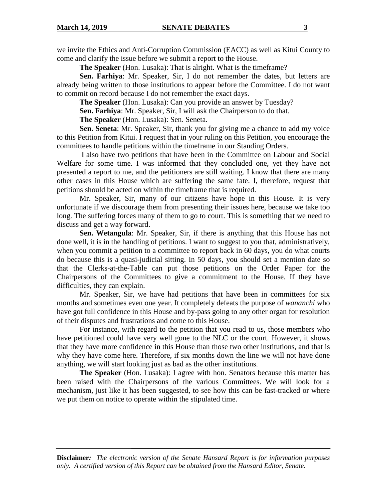we invite the Ethics and Anti-Corruption Commission (EACC) as well as Kitui County to come and clarify the issue before we submit a report to the House.

**The Speaker** (Hon. Lusaka): That is alright. What is the timeframe?

**Sen. Farhiya**: Mr. Speaker, Sir, I do not remember the dates, but letters are already being written to those institutions to appear before the Committee. I do not want to commit on record because I do not remember the exact days.

**The Speaker** (Hon. Lusaka): Can you provide an answer by Tuesday?

**Sen. Farhiya**: Mr. Speaker, Sir, I will ask the Chairperson to do that.

**The Speaker** (Hon. Lusaka): Sen. Seneta.

**Sen. Seneta**: Mr. Speaker, Sir, thank you for giving me a chance to add my voice to this Petition from Kitui. I request that in your ruling on this Petition, you encourage the committees to handle petitions within the timeframe in our Standing Orders.

 I also have two petitions that have been in the Committee on Labour and Social Welfare for some time. I was informed that they concluded one, yet they have not presented a report to me, and the petitioners are still waiting. I know that there are many other cases in this House which are suffering the same fate. I, therefore, request that petitions should be acted on within the timeframe that is required.

Mr. Speaker, Sir, many of our citizens have hope in this House. It is very unfortunate if we discourage them from presenting their issues here, because we take too long. The suffering forces many of them to go to court. This is something that we need to discuss and get a way forward.

**Sen. Wetangula**: Mr. Speaker, Sir, if there is anything that this House has not done well, it is in the handling of petitions. I want to suggest to you that, administratively, when you commit a petition to a committee to report back in 60 days, you do what courts do because this is a quasi-judicial sitting. In 50 days, you should set a mention date so that the Clerks-at-the-Table can put those petitions on the Order Paper for the Chairpersons of the Committees to give a commitment to the House. If they have difficulties, they can explain.

Mr. Speaker, Sir, we have had petitions that have been in committees for six months and sometimes even one year. It completely defeats the purpose of *wananchi* who have got full confidence in this House and by-pass going to any other organ for resolution of their disputes and frustrations and come to this House.

For instance, with regard to the petition that you read to us, those members who have petitioned could have very well gone to the NLC or the court. However, it shows that they have more confidence in this House than those two other institutions, and that is why they have come here. Therefore, if six months down the line we will not have done anything, we will start looking just as bad as the other institutions.

**The Speaker** (Hon. Lusaka): I agree with hon. Senators because this matter has been raised with the Chairpersons of the various Committees. We will look for a mechanism, just like it has been suggested, to see how this can be fast-tracked or where we put them on notice to operate within the stipulated time.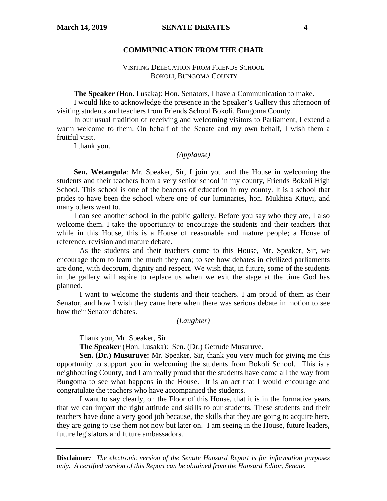#### **COMMUNICATION FROM THE CHAIR**

### VISITING DELEGATION FROM FRIENDS SCHOOL BOKOLI, BUNGOMA COUNTY

 **The Speaker** (Hon. Lusaka): Hon. Senators, I have a Communication to make.

 I would like to acknowledge the presence in the Speaker's Gallery this afternoon of visiting students and teachers from Friends School Bokoli, Bungoma County.

 In our usual tradition of receiving and welcoming visitors to Parliament, I extend a warm welcome to them. On behalf of the Senate and my own behalf, I wish them a fruitful visit.

I thank you.

#### *(Applause)*

**Sen. Wetangula**: Mr. Speaker, Sir, I join you and the House in welcoming the students and their teachers from a very senior school in my county, Friends Bokoli High School. This school is one of the beacons of education in my county. It is a school that prides to have been the school where one of our luminaries, hon. Mukhisa Kituyi, and many others went to.

 I can see another school in the public gallery. Before you say who they are, I also welcome them. I take the opportunity to encourage the students and their teachers that while in this House, this is a House of reasonable and mature people; a House of reference, revision and mature debate.

As the students and their teachers come to this House, Mr. Speaker, Sir, we encourage them to learn the much they can; to see how debates in civilized parliaments are done, with decorum, dignity and respect. We wish that, in future, some of the students in the gallery will aspire to replace us when we exit the stage at the time God has planned.

 I want to welcome the students and their teachers. I am proud of them as their Senator, and how I wish they came here when there was serious debate in motion to see how their Senator debates.

#### *(Laughter)*

Thank you, Mr. Speaker, Sir.

**The Speaker** (Hon. Lusaka): Sen. (Dr.) Getrude Musuruve.

**Sen. (Dr.) Musuruve:** Mr. Speaker, Sir, thank you very much for giving me this opportunity to support you in welcoming the students from Bokoli School. This is a neighbouring County, and I am really proud that the students have come all the way from Bungoma to see what happens in the House. It is an act that I would encourage and congratulate the teachers who have accompanied the students.

 I want to say clearly, on the Floor of this House, that it is in the formative years that we can impart the right attitude and skills to our students. These students and their teachers have done a very good job because, the skills that they are going to acquire here, they are going to use them not now but later on. I am seeing in the House, future leaders, future legislators and future ambassadors.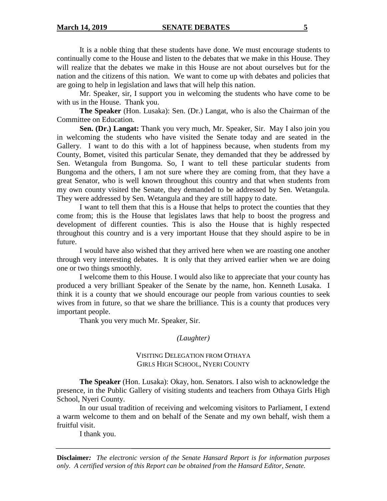#### **March 14, 2019 SENATE DEBATES 5**

It is a noble thing that these students have done. We must encourage students to continually come to the House and listen to the debates that we make in this House. They will realize that the debates we make in this House are not about ourselves but for the nation and the citizens of this nation. We want to come up with debates and policies that are going to help in legislation and laws that will help this nation.

 Mr. Speaker, sir, I support you in welcoming the students who have come to be with us in the House. Thank you.

**The Speaker** (Hon. Lusaka): Sen. (Dr.) Langat, who is also the Chairman of the Committee on Education.

**Sen. (Dr.) Langat:** Thank you very much, Mr. Speaker, Sir. May I also join you in welcoming the students who have visited the Senate today and are seated in the Gallery. I want to do this with a lot of happiness because, when students from my County, Bomet, visited this particular Senate, they demanded that they be addressed by Sen. Wetangula from Bungoma. So, I want to tell these particular students from Bungoma and the others, I am not sure where they are coming from, that they have a great Senator, who is well known throughout this country and that when students from my own county visited the Senate, they demanded to be addressed by Sen. Wetangula. They were addressed by Sen. Wetangula and they are still happy to date.

 I want to tell them that this is a House that helps to protect the counties that they come from; this is the House that legislates laws that help to boost the progress and development of different counties. This is also the House that is highly respected throughout this country and is a very important House that they should aspire to be in future.

 I would have also wished that they arrived here when we are roasting one another through very interesting debates. It is only that they arrived earlier when we are doing one or two things smoothly.

 I welcome them to this House. I would also like to appreciate that your county has produced a very brilliant Speaker of the Senate by the name, hon. Kenneth Lusaka. I think it is a county that we should encourage our people from various counties to seek wives from in future, so that we share the brilliance. This is a county that produces very important people.

Thank you very much Mr. Speaker, Sir.

*(Laughter)* 

#### VISITING DELEGATION FROM OTHAYA GIRLS HIGH SCHOOL, NYERI COUNTY

**The Speaker** (Hon. Lusaka): Okay, hon. Senators. I also wish to acknowledge the presence, in the Public Gallery of visiting students and teachers from Othaya Girls High School, Nyeri County.

In our usual tradition of receiving and welcoming visitors to Parliament, I extend a warm welcome to them and on behalf of the Senate and my own behalf, wish them a fruitful visit.

I thank you.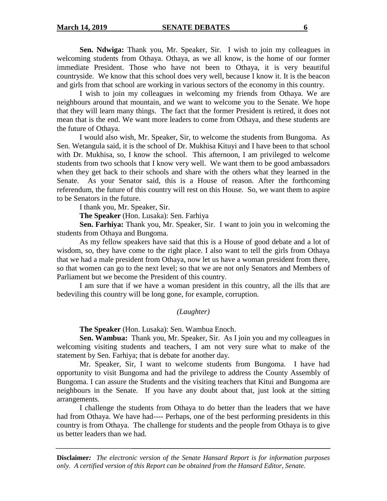**Sen. Ndwiga:** Thank you, Mr. Speaker, Sir. I wish to join my colleagues in welcoming students from Othaya. Othaya, as we all know, is the home of our former immediate President. Those who have not been to Othaya, it is very beautiful countryside. We know that this school does very well, because I know it. It is the beacon and girls from that school are working in various sectors of the economy in this country.

 I wish to join my colleagues in welcoming my friends from Othaya. We are neighbours around that mountain, and we want to welcome you to the Senate. We hope that they will learn many things. The fact that the former President is retired, it does not mean that is the end. We want more leaders to come from Othaya, and these students are the future of Othaya.

 I would also wish, Mr. Speaker, Sir, to welcome the students from Bungoma. As Sen. Wetangula said, it is the school of Dr. Mukhisa Kituyi and I have been to that school with Dr. Mukhisa, so, I know the school. This afternoon, I am privileged to welcome students from two schools that I know very well. We want them to be good ambassadors when they get back to their schools and share with the others what they learned in the Senate. As your Senator said, this is a House of reason. After the forthcoming referendum, the future of this country will rest on this House. So, we want them to aspire to be Senators in the future.

I thank you, Mr. Speaker, Sir.

**The Speaker** (Hon. Lusaka): Sen. Farhiya

**Sen. Farhiya:** Thank you, Mr. Speaker, Sir. I want to join you in welcoming the students from Othaya and Bungoma.

As my fellow speakers have said that this is a House of good debate and a lot of wisdom, so, they have come to the right place. I also want to tell the girls from Othaya that we had a male president from Othaya, now let us have a woman president from there, so that women can go to the next level; so that we are not only Senators and Members of Parliament but we become the President of this country.

 I am sure that if we have a woman president in this country, all the ills that are bedeviling this country will be long gone, for example, corruption.

### *(Laughter)*

**The Speaker** (Hon. Lusaka): Sen. Wambua Enoch.

**Sen. Wambua:** Thank you, Mr. Speaker, Sir. As I join you and my colleagues in welcoming visiting students and teachers, I am not very sure what to make of the statement by Sen. Farhiya; that is debate for another day.

 Mr. Speaker, Sir, I want to welcome students from Bungoma. I have had opportunity to visit Bungoma and had the privilege to address the County Assembly of Bungoma. I can assure the Students and the visiting teachers that Kitui and Bungoma are neighbours in the Senate. If you have any doubt about that, just look at the sitting arrangements.

 I challenge the students from Othaya to do better than the leaders that we have had from Othaya. We have had---- Perhaps, one of the best performing presidents in this country is from Othaya. The challenge for students and the people from Othaya is to give us better leaders than we had.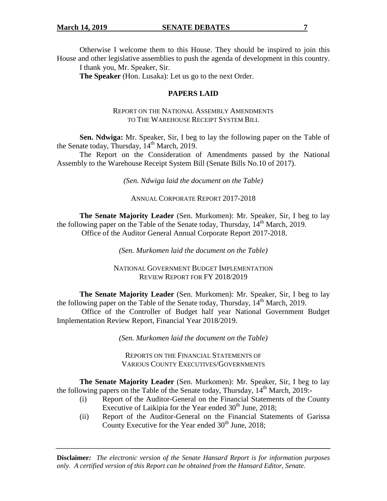Otherwise I welcome them to this House. They should be inspired to join this House and other legislative assemblies to push the agenda of development in this country.

I thank you, Mr. Speaker, Sir.

**The Speaker** (Hon. Lusaka): Let us go to the next Order.

### **PAPERS LAID**

### REPORT ON THE NATIONAL ASSEMBLY AMENDMENTS TO THE WAREHOUSE RECEIPT SYSTEM BILL

**Sen. Ndwiga:** Mr. Speaker, Sir, I beg to lay the following paper on the Table of the Senate today, Thursday,  $14<sup>th</sup>$  March, 2019.

The Report on the Consideration of Amendments passed by the National Assembly to the Warehouse Receipt System Bill (Senate Bills No.10 of 2017).

*(Sen. Ndwiga laid the document on the Table)* 

ANNUAL CORPORATE REPORT 2017-2018

**The Senate Majority Leader** (Sen. Murkomen): Mr. Speaker, Sir, I beg to lay the following paper on the Table of the Senate today, Thursday,  $14<sup>th</sup>$  March, 2019. Office of the Auditor General Annual Corporate Report 2017-2018.

*(Sen. Murkomen laid the document on the Table)* 

NATIONAL GOVERNMENT BUDGET IMPLEMENTATION REVIEW REPORT FOR FY 2018/2019

**The Senate Majority Leader** (Sen. Murkomen): Mr. Speaker, Sir, I beg to lay the following paper on the Table of the Senate today, Thursday,  $14<sup>th</sup>$  March, 2019. Office of the Controller of Budget half year National Government Budget Implementation Review Report, Financial Year 2018/2019.

*(Sen. Murkomen laid the document on the Table)* 

REPORTS ON THE FINANCIAL STATEMENTS OF VARIOUS COUNTY EXECUTIVES/GOVERNMENTS

**The Senate Majority Leader** (Sen. Murkomen): Mr. Speaker, Sir, I beg to lay the following papers on the Table of the Senate today, Thursday,  $14<sup>th</sup>$  March, 2019:-

- (i) Report of the Auditor-General on the Financial Statements of the County Executive of Laikipia for the Year ended  $30<sup>th</sup>$  June, 2018;
- (ii) Report of the Auditor-General on the Financial Statements of Garissa County Executive for the Year ended  $30<sup>th</sup>$  June, 2018;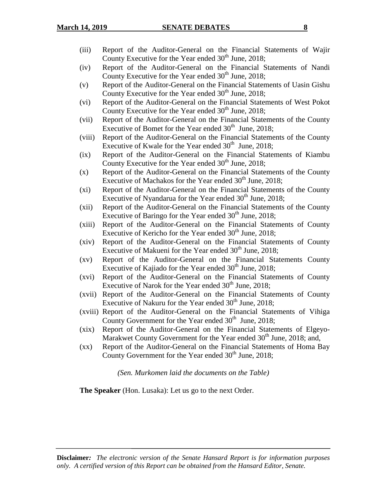- (iii) Report of the Auditor-General on the Financial Statements of Wajir County Executive for the Year ended  $30<sup>th</sup>$  June, 2018;
- (iv) Report of the Auditor-General on the Financial Statements of Nandi County Executive for the Year ended  $30<sup>th</sup>$  June, 2018;
- (v) Report of the Auditor-General on the Financial Statements of Uasin Gishu County Executive for the Year ended  $30<sup>th</sup>$  June, 2018;
- (vi) Report of the Auditor-General on the Financial Statements of West Pokot County Executive for the Year ended  $30<sup>th</sup>$  June, 2018;
- (vii) Report of the Auditor-General on the Financial Statements of the County Executive of Bomet for the Year ended  $30<sup>th</sup>$  June, 2018;
- (viii) Report of the Auditor-General on the Financial Statements of the County Executive of Kwale for the Year ended  $30<sup>th</sup>$  June, 2018;
- (ix) Report of the Auditor-General on the Financial Statements of Kiambu County Executive for the Year ended  $30<sup>th</sup>$  June, 2018;
- (x) Report of the Auditor-General on the Financial Statements of the County Executive of Machakos for the Year ended  $30<sup>th</sup>$  June, 2018;
- (xi) Report of the Auditor-General on the Financial Statements of the County Executive of Nyandarua for the Year ended 30<sup>th</sup> June, 2018;
- (xii) Report of the Auditor-General on the Financial Statements of the County Executive of Baringo for the Year ended  $30<sup>th</sup>$  June, 2018;
- (xiii) Report of the Auditor-General on the Financial Statements of County Executive of Kericho for the Year ended  $30<sup>th</sup>$  June, 2018;
- (xiv) Report of the Auditor-General on the Financial Statements of County Executive of Makueni for the Year ended  $30<sup>th</sup>$  June, 2018;
- (xv) Report of the Auditor-General on the Financial Statements County Executive of Kajiado for the Year ended  $30<sup>th</sup>$  June, 2018;
- (xvi) Report of the Auditor-General on the Financial Statements of County Executive of Narok for the Year ended  $30<sup>th</sup>$  June, 2018;
- (xvii) Report of the Auditor-General on the Financial Statements of County Executive of Nakuru for the Year ended  $30<sup>th</sup>$  June, 2018;
- (xviii) Report of the Auditor-General on the Financial Statements of Vihiga County Government for the Year ended  $30<sup>th</sup>$  June, 2018;
- (xix) Report of the Auditor-General on the Financial Statements of Elgeyo-Marakwet County Government for the Year ended 30<sup>th</sup> June, 2018; and,
- (xx) Report of the Auditor-General on the Financial Statements of Homa Bay County Government for the Year ended  $30<sup>th</sup>$  June, 2018;

*(Sen. Murkomen laid the documents on the Table)* 

**The Speaker** (Hon. Lusaka): Let us go to the next Order.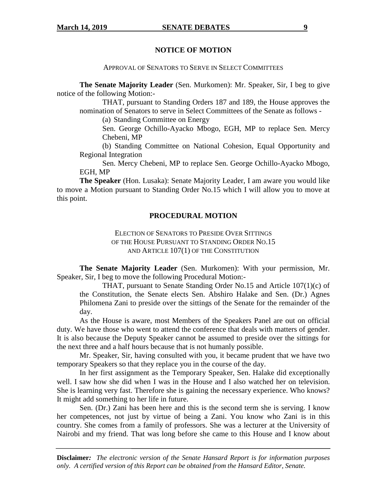### **NOTICE OF MOTION**

APPROVAL OF SENATORS TO SERVE IN SELECT COMMITTEES

**The Senate Majority Leader** (Sen. Murkomen): Mr. Speaker, Sir, I beg to give notice of the following Motion:-

 THAT, pursuant to Standing Orders 187 and 189, the House approves the nomination of Senators to serve in Select Committees of the Senate as follows -

(a) Standing Committee on Energy

Sen. George Ochillo-Ayacko Mbogo, EGH, MP to replace Sen. Mercy Chebeni, MP

(b) Standing Committee on National Cohesion, Equal Opportunity and Regional Integration

Sen. Mercy Chebeni, MP to replace Sen. George Ochillo-Ayacko Mbogo, EGH, MP

**The Speaker** (Hon. Lusaka): Senate Majority Leader, I am aware you would like to move a Motion pursuant to Standing Order No.15 which I will allow you to move at this point.

### **PROCEDURAL MOTION**

ELECTION OF SENATORS TO PRESIDE OVER SITTINGS OF THE HOUSE PURSUANT TO STANDING ORDER NO.15 AND ARTICLE 107(1) OF THE CONSTITUTION

**The Senate Majority Leader** (Sen. Murkomen): With your permission, Mr. Speaker, Sir, I beg to move the following Procedural Motion:-

THAT, pursuant to Senate Standing Order No.15 and Article 107(1)(c) of the Constitution, the Senate elects Sen. Abshiro Halake and Sen. (Dr.) Agnes Philomena Zani to preside over the sittings of the Senate for the remainder of the day.

As the House is aware, most Members of the Speakers Panel are out on official duty. We have those who went to attend the conference that deals with matters of gender. It is also because the Deputy Speaker cannot be assumed to preside over the sittings for the next three and a half hours because that is not humanly possible.

Mr. Speaker, Sir, having consulted with you, it became prudent that we have two temporary Speakers so that they replace you in the course of the day.

In her first assignment as the Temporary Speaker, Sen. Halake did exceptionally well. I saw how she did when I was in the House and I also watched her on television. She is learning very fast. Therefore she is gaining the necessary experience. Who knows? It might add something to her life in future.

Sen. (Dr.) Zani has been here and this is the second term she is serving. I know her competences, not just by virtue of being a Zani. You know who Zani is in this country. She comes from a family of professors. She was a lecturer at the University of Nairobi and my friend. That was long before she came to this House and I know about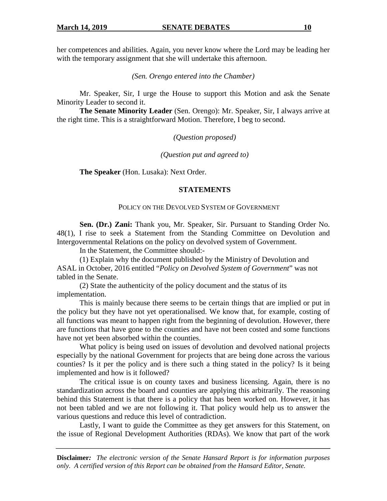her competences and abilities. Again, you never know where the Lord may be leading her with the temporary assignment that she will undertake this afternoon.

*(Sen. Orengo entered into the Chamber)* 

Mr. Speaker, Sir, I urge the House to support this Motion and ask the Senate Minority Leader to second it.

**The Senate Minority Leader** (Sen. Orengo): Mr. Speaker, Sir, I always arrive at the right time. This is a straightforward Motion. Therefore, I beg to second.

*(Question proposed)* 

*(Question put and agreed to)* 

**The Speaker** (Hon. Lusaka): Next Order.

### **STATEMENTS**

#### POLICY ON THE DEVOLVED SYSTEM OF GOVERNMENT

**Sen. (Dr.) Zani:** Thank you, Mr. Speaker, Sir. Pursuant to Standing Order No. 48(1), I rise to seek a Statement from the Standing Committee on Devolution and Intergovernmental Relations on the policy on devolved system of Government.

In the Statement, the Committee should:-

(1) Explain why the document published by the Ministry of Devolution and ASAL in October, 2016 entitled "*Policy on Devolved System of Government*" was not tabled in the Senate.

(2) State the authenticity of the policy document and the status of its implementation.

This is mainly because there seems to be certain things that are implied or put in the policy but they have not yet operationalised. We know that, for example, costing of all functions was meant to happen right from the beginning of devolution. However, there are functions that have gone to the counties and have not been costed and some functions have not yet been absorbed within the counties.

What policy is being used on issues of devolution and devolved national projects especially by the national Government for projects that are being done across the various counties? Is it per the policy and is there such a thing stated in the policy? Is it being implemented and how is it followed?

The critical issue is on county taxes and business licensing. Again, there is no standardization across the board and counties are applying this arbitrarily. The reasoning behind this Statement is that there is a policy that has been worked on. However, it has not been tabled and we are not following it. That policy would help us to answer the various questions and reduce this level of contradiction.

Lastly, I want to guide the Committee as they get answers for this Statement, on the issue of Regional Development Authorities (RDAs). We know that part of the work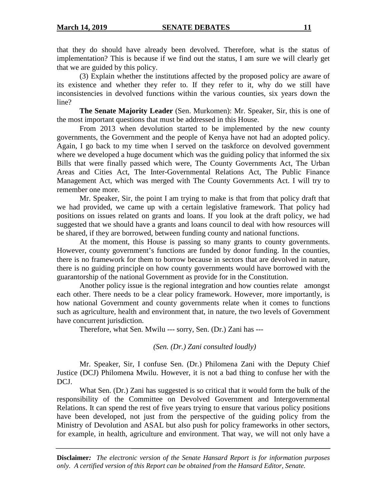that they do should have already been devolved. Therefore, what is the status of implementation? This is because if we find out the status, I am sure we will clearly get that we are guided by this policy.

(3) Explain whether the institutions affected by the proposed policy are aware of its existence and whether they refer to. If they refer to it, why do we still have inconsistencies in devolved functions within the various counties, six years down the line?

**The Senate Majority Leader** (Sen. Murkomen): Mr. Speaker, Sir, this is one of the most important questions that must be addressed in this House.

From 2013 when devolution started to be implemented by the new county governments, the Government and the people of Kenya have not had an adopted policy. Again, I go back to my time when I served on the taskforce on devolved government where we developed a huge document which was the guiding policy that informed the six Bills that were finally passed which were, The County Governments Act, The Urban Areas and Cities Act, The Inter-Governmental Relations Act, The Public Finance Management Act, which was merged with The County Governments Act. I will try to remember one more.

Mr. Speaker, Sir, the point I am trying to make is that from that policy draft that we had provided, we came up with a certain legislative framework. That policy had positions on issues related on grants and loans. If you look at the draft policy, we had suggested that we should have a grants and loans council to deal with how resources will be shared, if they are borrowed, between funding county and national functions.

At the moment, this House is passing so many grants to county governments. However, county government's functions are funded by donor funding. In the counties, there is no framework for them to borrow because in sectors that are devolved in nature, there is no guiding principle on how county governments would have borrowed with the guarantorship of the national Government as provide for in the Constitution.

Another policy issue is the regional integration and how counties relate amongst each other. There needs to be a clear policy framework. However, more importantly, is how national Government and county governments relate when it comes to functions such as agriculture, health and environment that, in nature, the two levels of Government have concurrent jurisdiction.

Therefore, what Sen. Mwilu --- sorry, Sen. (Dr.) Zani has ---

*(Sen. (Dr.) Zani consulted loudly)* 

Mr. Speaker, Sir, I confuse Sen. (Dr.) Philomena Zani with the Deputy Chief Justice (DCJ) Philomena Mwilu. However, it is not a bad thing to confuse her with the DCJ.

What Sen. (Dr.) Zani has suggested is so critical that it would form the bulk of the responsibility of the Committee on Devolved Government and Intergovernmental Relations. It can spend the rest of five years trying to ensure that various policy positions have been developed, not just from the perspective of the guiding policy from the Ministry of Devolution and ASAL but also push for policy frameworks in other sectors, for example, in health, agriculture and environment. That way, we will not only have a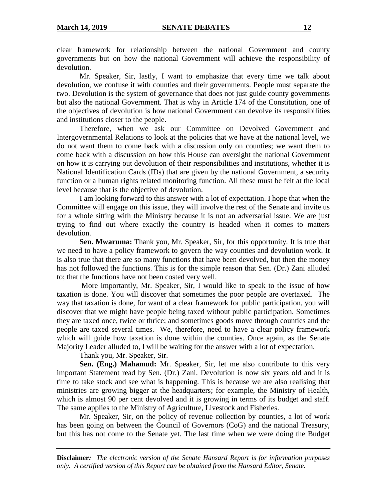clear framework for relationship between the national Government and county governments but on how the national Government will achieve the responsibility of devolution.

Mr. Speaker, Sir, lastly, I want to emphasize that every time we talk about devolution, we confuse it with counties and their governments. People must separate the two. Devolution is the system of governance that does not just guide county governments but also the national Government. That is why in Article 174 of the Constitution, one of the objectives of devolution is how national Government can devolve its responsibilities and institutions closer to the people.

Therefore, when we ask our Committee on Devolved Government and Intergovernmental Relations to look at the policies that we have at the national level, we do not want them to come back with a discussion only on counties; we want them to come back with a discussion on how this House can oversight the national Government on how it is carrying out devolution of their responsibilities and institutions, whether it is National Identification Cards (IDs) that are given by the national Government, a security function or a human rights related monitoring function. All these must be felt at the local level because that is the objective of devolution.

I am looking forward to this answer with a lot of expectation. I hope that when the Committee will engage on this issue, they will involve the rest of the Senate and invite us for a whole sitting with the Ministry because it is not an adversarial issue. We are just trying to find out where exactly the country is headed when it comes to matters devolution.

**Sen. Mwaruma:** Thank you, Mr. Speaker, Sir, for this opportunity. It is true that we need to have a policy framework to govern the way counties and devolution work. It is also true that there are so many functions that have been devolved, but then the money has not followed the functions. This is for the simple reason that Sen. (Dr.) Zani alluded to; that the functions have not been costed very well.

 More importantly, Mr. Speaker, Sir, I would like to speak to the issue of how taxation is done. You will discover that sometimes the poor people are overtaxed. The way that taxation is done, for want of a clear framework for public participation, you will discover that we might have people being taxed without public participation. Sometimes they are taxed once, twice or thrice; and sometimes goods move through counties and the people are taxed several times. We, therefore, need to have a clear policy framework which will guide how taxation is done within the counties. Once again, as the Senate Majority Leader alluded to, I will be waiting for the answer with a lot of expectation.

Thank you, Mr. Speaker, Sir.

**Sen. (Eng.) Mahamud:** Mr. Speaker, Sir, let me also contribute to this very important Statement read by Sen. (Dr.) Zani. Devolution is now six years old and it is time to take stock and see what is happening. This is because we are also realising that ministries are growing bigger at the headquarters; for example, the Ministry of Health, which is almost 90 per cent devolved and it is growing in terms of its budget and staff. The same applies to the Ministry of Agriculture, Livestock and Fisheries.

Mr. Speaker, Sir, on the policy of revenue collection by counties, a lot of work has been going on between the Council of Governors (CoG) and the national Treasury, but this has not come to the Senate yet. The last time when we were doing the Budget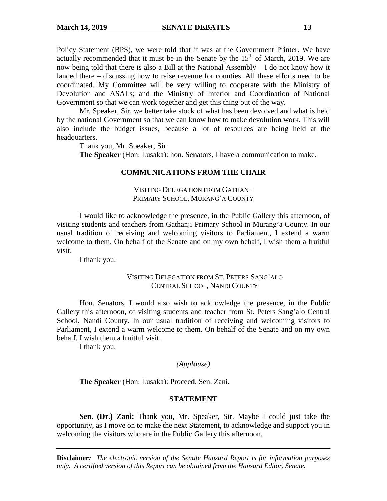Policy Statement (BPS), we were told that it was at the Government Printer. We have actually recommended that it must be in the Senate by the  $15<sup>th</sup>$  of March, 2019. We are now being told that there is also a Bill at the National Assembly – I do not know how it landed there – discussing how to raise revenue for counties. All these efforts need to be coordinated. My Committee will be very willing to cooperate with the Ministry of Devolution and ASALs; and the Ministry of Interior and Coordination of National Government so that we can work together and get this thing out of the way.

Mr. Speaker, Sir, we better take stock of what has been devolved and what is held by the national Government so that we can know how to make devolution work. This will also include the budget issues, because a lot of resources are being held at the headquarters.

Thank you, Mr. Speaker, Sir.

**The Speaker** (Hon. Lusaka): hon. Senators, I have a communication to make.

### **COMMUNICATIONS FROM THE CHAIR**

VISITING DELEGATION FROM GATHANJI PRIMARY SCHOOL, MURANG'A COUNTY

I would like to acknowledge the presence, in the Public Gallery this afternoon, of visiting students and teachers from Gathanji Primary School in Murang'a County. In our usual tradition of receiving and welcoming visitors to Parliament, I extend a warm welcome to them. On behalf of the Senate and on my own behalf, I wish them a fruitful visit.

I thank you.

#### VISITING DELEGATION FROM ST. PETERS SANG'ALO CENTRAL SCHOOL, NANDI COUNTY

Hon. Senators, I would also wish to acknowledge the presence, in the Public Gallery this afternoon, of visiting students and teacher from St. Peters Sang'alo Central School, Nandi County. In our usual tradition of receiving and welcoming visitors to Parliament, I extend a warm welcome to them. On behalf of the Senate and on my own behalf, I wish them a fruitful visit.

I thank you.

### *(Applause)*

**The Speaker** (Hon. Lusaka): Proceed, Sen. Zani.

### **STATEMENT**

**Sen. (Dr.) Zani:** Thank you, Mr. Speaker, Sir. Maybe I could just take the opportunity, as I move on to make the next Statement, to acknowledge and support you in welcoming the visitors who are in the Public Gallery this afternoon.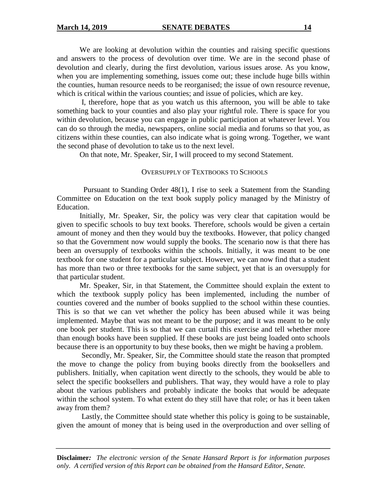We are looking at devolution within the counties and raising specific questions and answers to the process of devolution over time. We are in the second phase of devolution and clearly, during the first devolution, various issues arose. As you know, when you are implementing something, issues come out; these include huge bills within the counties, human resource needs to be reorganised; the issue of own resource revenue, which is critical within the various counties; and issue of policies, which are key.

 I, therefore, hope that as you watch us this afternoon, you will be able to take something back to your counties and also play your rightful role. There is space for you within devolution, because you can engage in public participation at whatever level. You can do so through the media, newspapers, online social media and forums so that you, as citizens within these counties, can also indicate what is going wrong. Together, we want the second phase of devolution to take us to the next level.

On that note, Mr. Speaker, Sir, I will proceed to my second Statement.

#### OVERSUPPLY OF TEXTBOOKS TO SCHOOLS

 Pursuant to Standing Order 48(1), I rise to seek a Statement from the Standing Committee on Education on the text book supply policy managed by the Ministry of Education.

Initially, Mr. Speaker, Sir, the policy was very clear that capitation would be given to specific schools to buy text books. Therefore, schools would be given a certain amount of money and then they would buy the textbooks. However, that policy changed so that the Government now would supply the books. The scenario now is that there has been an oversupply of textbooks within the schools. Initially, it was meant to be one textbook for one student for a particular subject. However, we can now find that a student has more than two or three textbooks for the same subject, yet that is an oversupply for that particular student.

 Mr. Speaker, Sir, in that Statement, the Committee should explain the extent to which the textbook supply policy has been implemented, including the number of counties covered and the number of books supplied to the school within these counties. This is so that we can vet whether the policy has been abused while it was being implemented. Maybe that was not meant to be the purpose; and it was meant to be only one book per student. This is so that we can curtail this exercise and tell whether more than enough books have been supplied. If these books are just being loaded onto schools because there is an opportunity to buy these books, then we might be having a problem.

 Secondly, Mr. Speaker, Sir, the Committee should state the reason that prompted the move to change the policy from buying books directly from the booksellers and publishers. Initially, when capitation went directly to the schools, they would be able to select the specific booksellers and publishers. That way, they would have a role to play about the various publishers and probably indicate the books that would be adequate within the school system. To what extent do they still have that role; or has it been taken away from them?

 Lastly, the Committee should state whether this policy is going to be sustainable, given the amount of money that is being used in the overproduction and over selling of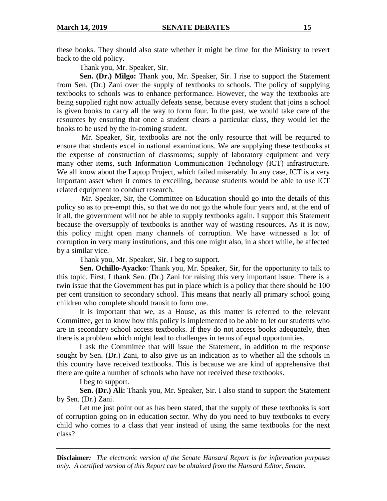these books. They should also state whether it might be time for the Ministry to revert back to the old policy.

Thank you, Mr. Speaker, Sir.

**Sen. (Dr.) Milgo:** Thank you, Mr. Speaker, Sir. I rise to support the Statement from Sen. (Dr.) Zani over the supply of textbooks to schools. The policy of supplying textbooks to schools was to enhance performance. However, the way the textbooks are being supplied right now actually defeats sense, because every student that joins a school is given books to carry all the way to form four. In the past, we would take care of the resources by ensuring that once a student clears a particular class, they would let the books to be used by the in-coming student.

 Mr. Speaker, Sir, textbooks are not the only resource that will be required to ensure that students excel in national examinations. We are supplying these textbooks at the expense of construction of classrooms; supply of laboratory equipment and very many other items, such Information Communication Technology (ICT) infrastructure. We all know about the Laptop Project, which failed miserably. In any case, ICT is a very important asset when it comes to excelling, because students would be able to use ICT related equipment to conduct research.

 Mr. Speaker, Sir, the Committee on Education should go into the details of this policy so as to pre-empt this, so that we do not go the whole four years and, at the end of it all, the government will not be able to supply textbooks again. I support this Statement because the oversupply of textbooks is another way of wasting resources. As it is now, this policy might open many channels of corruption. We have witnessed a lot of corruption in very many institutions, and this one might also, in a short while, be affected by a similar vice.

Thank you, Mr. Speaker, Sir. I beg to support.

**Sen. Ochillo-Ayacko**: Thank you, Mr. Speaker, Sir, for the opportunity to talk to this topic. First, I thank Sen. (Dr.) Zani for raising this very important issue. There is a twin issue that the Government has put in place which is a policy that there should be 100 per cent transition to secondary school. This means that nearly all primary school going children who complete should transit to form one.

 It is important that we, as a House, as this matter is referred to the relevant Committee, get to know how this policy is implemented to be able to let our students who are in secondary school access textbooks. If they do not access books adequately, then there is a problem which might lead to challenges in terms of equal opportunities.

 I ask the Committee that will issue the Statement, in addition to the response sought by Sen. (Dr.) Zani, to also give us an indication as to whether all the schools in this country have received textbooks. This is because we are kind of apprehensive that there are quite a number of schools who have not received these textbooks.

I beg to support.

**Sen. (Dr.) Ali:** Thank you, Mr. Speaker, Sir. I also stand to support the Statement by Sen. (Dr.) Zani.

 Let me just point out as has been stated, that the supply of these textbooks is sort of corruption going on in education sector. Why do you need to buy textbooks to every child who comes to a class that year instead of using the same textbooks for the next class?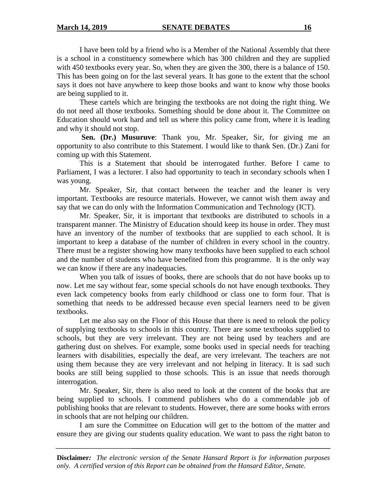I have been told by a friend who is a Member of the National Assembly that there is a school in a constituency somewhere which has 300 children and they are supplied with 450 textbooks every year. So, when they are given the 300, there is a balance of 150. This has been going on for the last several years. It has gone to the extent that the school says it does not have anywhere to keep those books and want to know why those books are being supplied to it.

 These cartels which are bringing the textbooks are not doing the right thing. We do not need all those textbooks. Something should be done about it. The Committee on Education should work hard and tell us where this policy came from, where it is leading and why it should not stop.

 **Sen. (Dr.) Musuruve**: Thank you, Mr. Speaker, Sir, for giving me an opportunity to also contribute to this Statement. I would like to thank Sen. (Dr.) Zani for coming up with this Statement.

 This is a Statement that should be interrogated further. Before I came to Parliament, I was a lecturer. I also had opportunity to teach in secondary schools when I was young.

Mr. Speaker, Sir, that contact between the teacher and the leaner is very important. Textbooks are resource materials. However, we cannot wish them away and say that we can do only with the Information Communication and Technology (ICT).

 Mr. Speaker, Sir, it is important that textbooks are distributed to schools in a transparent manner. The Ministry of Education should keep its house in order. They must have an inventory of the number of textbooks that are supplied to each school. It is important to keep a database of the number of children in every school in the country. There must be a register showing how many textbooks have been supplied to each school and the number of students who have benefited from this programme. It is the only way we can know if there are any inadequacies.

 When you talk of issues of books, there are schools that do not have books up to now. Let me say without fear, some special schools do not have enough textbooks. They even lack competency books from early childhood or class one to form four. That is something that needs to be addressed because even special learners need to be given textbooks.

Let me also say on the Floor of this House that there is need to relook the policy of supplying textbooks to schools in this country. There are some textbooks supplied to schools, but they are very irrelevant. They are not being used by teachers and are gathering dust on shelves. For example, some books used in special needs for teaching learners with disabilities, especially the deaf, are very irrelevant. The teachers are not using them because they are very irrelevant and not helping in literacy. It is sad such books are still being supplied to those schools. This is an issue that needs thorough interrogation.

Mr. Speaker, Sir, there is also need to look at the content of the books that are being supplied to schools. I commend publishers who do a commendable job of publishing books that are relevant to students. However, there are some books with errors in schools that are not helping our children.

I am sure the Committee on Education will get to the bottom of the matter and ensure they are giving our students quality education. We want to pass the right baton to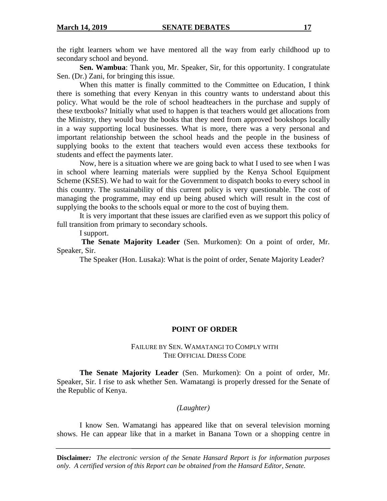the right learners whom we have mentored all the way from early childhood up to secondary school and beyond.

**Sen. Wambua**: Thank you, Mr. Speaker, Sir, for this opportunity. I congratulate Sen. (Dr.) Zani, for bringing this issue.

When this matter is finally committed to the Committee on Education, I think there is something that every Kenyan in this country wants to understand about this policy. What would be the role of school headteachers in the purchase and supply of these textbooks? Initially what used to happen is that teachers would get allocations from the Ministry, they would buy the books that they need from approved bookshops locally in a way supporting local businesses. What is more, there was a very personal and important relationship between the school heads and the people in the business of supplying books to the extent that teachers would even access these textbooks for students and effect the payments later.

Now, here is a situation where we are going back to what I used to see when I was in school where learning materials were supplied by the Kenya School Equipment Scheme (KSES). We had to wait for the Government to dispatch books to every school in this country. The sustainability of this current policy is very questionable. The cost of managing the programme, may end up being abused which will result in the cost of supplying the books to the schools equal or more to the cost of buying them.

It is very important that these issues are clarified even as we support this policy of full transition from primary to secondary schools.

I support.

**The Senate Majority Leader** (Sen. Murkomen): On a point of order, Mr. Speaker, Sir.

The Speaker (Hon. Lusaka): What is the point of order, Senate Majority Leader?

#### **POINT OF ORDER**

#### FAILURE BY SEN. WAMATANGI TO COMPLY WITH THE OFFICIAL DRESS CODE

**The Senate Majority Leader** (Sen. Murkomen): On a point of order, Mr. Speaker, Sir. I rise to ask whether Sen. Wamatangi is properly dressed for the Senate of the Republic of Kenya.

### *(Laughter)*

I know Sen. Wamatangi has appeared like that on several television morning shows. He can appear like that in a market in Banana Town or a shopping centre in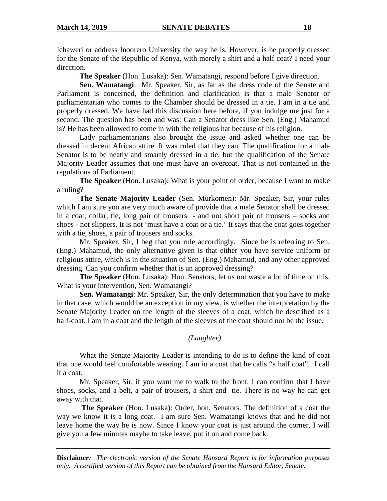Ichaweri or address Inoorero University the way he is. However, is he properly dressed for the Senate of the Republic of Kenya, with merely a shirt and a half coat? I need your direction.

**The Speaker** (Hon. Lusaka): Sen. Wamatangi, respond before I give direction.

**Sen. Wamatangi**: Mr. Speaker, Sir, as far as the dress code of the Senate and Parliament is concerned, the definition and clarification is that a male Senator or parliamentarian who comes to the Chamber should be dressed in a tie. I am in a tie and properly dressed. We have had this discussion here before, if you indulge me just for a second. The question has been and was: Can a Senator dress like Sen. (Eng.) Mahamud is? He has been allowed to come in with the religious hat because of his religion.

Lady parliamentarians also brought the issue and asked whether one can be dressed in decent African attire. It was ruled that they can. The qualification for a male Senator is to be neatly and smartly dressed in a tie, but the qualification of the Senate Majority Leader assumes that one must have an overcoat. That is not contained in the regulations of Parliament.

**The Speaker** (Hon. Lusaka): What is your point of order, because I want to make a ruling?

**The Senate Majority Leader** (Sen. Murkomen): Mr. Speaker, Sir, your rules which I am sure you are very much aware of provide that a male Senator shall be dressed in a coat, collar, tie, long pair of trousers - and not short pair of trousers – socks and shoes - not slippers. It is not 'must have a coat or a tie.' It says that the coat goes together with a tie, shoes, a pair of trousers and socks.

Mr. Speaker, Sir, I beg that you rule accordingly. Since he is referring to Sen. (Eng.) Mahamud, the only alternative given is that either you have service uniform or religious attire, which is in the situation of Sen. (Eng.) Mahamud, and any other approved dressing. Can you confirm whether that is an approved dressing?

**The Speaker** (Hon. Lusaka): Hon. Senators, let us not waste a lot of time on this. What is your intervention, Sen. Wamatangi?

**Sen. Wamatangi**: Mr. Speaker, Sir, the only determination that you have to make in that case, which would be an exception in my view, is whether the interpretation by the Senate Majority Leader on the length of the sleeves of a coat, which he described as a half-coat. I am in a coat and the length of the sleeves of the coat should not be the issue.

### *(Laughter)*

What the Senate Majority Leader is intending to do is to define the kind of coat that one would feel comfortable wearing. I am in a coat that he calls "a half coat". I call it a coat.

Mr. Speaker, Sir, if you want me to walk to the front, I can confirm that I have shoes, socks, and a belt, a pair of trousers, a shirt and tie. There is no way he can get away with that.

**The Speaker** (Hon. Lusaka): Order, hon. Senators. The definition of a coat the way we know it is a long coat. I am sure Sen. Wamatangi knows that and he did not leave home the way he is now. Since I know your coat is just around the corner, I will give you a few minutes maybe to take leave, put it on and come back.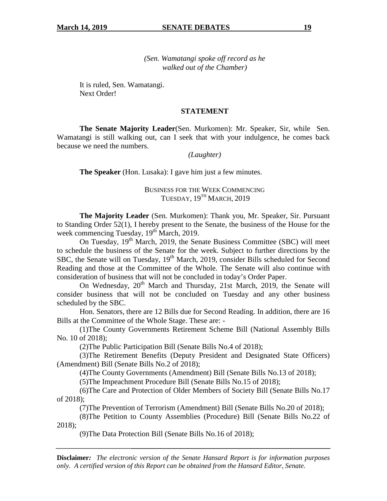*(Sen. Wamatangi spoke off record as he walked out of the Chamber)* 

It is ruled, Sen. Wamatangi. Next Order!

### **STATEMENT**

**The Senate Majority Leader**(Sen. Murkomen): Mr. Speaker, Sir, while Sen. Wamatangi is still walking out, can I seek that with your indulgence, he comes back because we need the numbers.

*(Laughter)* 

**The Speaker** (Hon. Lusaka): I gave him just a few minutes.

### BUSINESS FOR THE WEEK COMMENCING TUESDAY, 19<sup>TH</sup> MARCH, 2019

**The Majority Leader** (Sen. Murkomen): Thank you, Mr. Speaker, Sir. Pursuant to Standing Order 52(1), I hereby present to the Senate, the business of the House for the week commencing Tuesday,  $19<sup>th</sup>$  March, 2019.

On Tuesday, 19<sup>th</sup> March, 2019, the Senate Business Committee (SBC) will meet to schedule the business of the Senate for the week. Subject to further directions by the SBC, the Senate will on Tuesday, 19<sup>th</sup> March, 2019, consider Bills scheduled for Second Reading and those at the Committee of the Whole. The Senate will also continue with consideration of business that will not be concluded in today's Order Paper.

On Wednesday,  $20^{th}$  March and Thursday, 21st March, 2019, the Senate will consider business that will not be concluded on Tuesday and any other business scheduled by the SBC.

Hon. Senators, there are 12 Bills due for Second Reading. In addition, there are 16 Bills at the Committee of the Whole Stage. These are: -

(1)The County Governments Retirement Scheme Bill (National Assembly Bills No. 10 of 2018);

(2)The Public Participation Bill (Senate Bills No.4 of 2018);

(3)The Retirement Benefits (Deputy President and Designated State Officers) (Amendment) Bill (Senate Bills No.2 of 2018);

(4)The County Governments (Amendment) Bill (Senate Bills No.13 of 2018);

(5)The Impeachment Procedure Bill (Senate Bills No.15 of 2018);

(6)The Care and Protection of Older Members of Society Bill (Senate Bills No.17 of 2018);

(7)The Prevention of Terrorism (Amendment) Bill (Senate Bills No.20 of 2018);

(8)The Petition to County Assemblies (Procedure) Bill (Senate Bills No.22 of 2018);

(9)The Data Protection Bill (Senate Bills No.16 of 2018);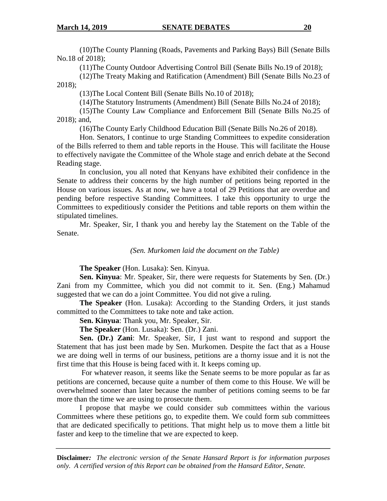(10)The County Planning (Roads, Pavements and Parking Bays) Bill (Senate Bills No.18 of 2018);

(11)The County Outdoor Advertising Control Bill (Senate Bills No.19 of 2018);

(12)The Treaty Making and Ratification (Amendment) Bill (Senate Bills No.23 of 2018);

(13)The Local Content Bill (Senate Bills No.10 of 2018);

(14)The Statutory Instruments (Amendment) Bill (Senate Bills No.24 of 2018);

(15)The County Law Compliance and Enforcement Bill (Senate Bills No.25 of 2018); and,

(16)The County Early Childhood Education Bill (Senate Bills No.26 of 2018).

Hon. Senators, I continue to urge Standing Committees to expedite consideration of the Bills referred to them and table reports in the House. This will facilitate the House to effectively navigate the Committee of the Whole stage and enrich debate at the Second Reading stage.

In conclusion, you all noted that Kenyans have exhibited their confidence in the Senate to address their concerns by the high number of petitions being reported in the House on various issues. As at now, we have a total of 29 Petitions that are overdue and pending before respective Standing Committees. I take this opportunity to urge the Committees to expeditiously consider the Petitions and table reports on them within the stipulated timelines.

Mr. Speaker, Sir, I thank you and hereby lay the Statement on the Table of the Senate.

*(Sen. Murkomen laid the document on the Table)* 

**The Speaker** (Hon. Lusaka): Sen. Kinyua.

**Sen. Kinyua**: Mr. Speaker, Sir, there were requests for Statements by Sen. (Dr.) Zani from my Committee, which you did not commit to it. Sen. (Eng.) Mahamud suggested that we can do a joint Committee. You did not give a ruling.

**The Speaker** (Hon. Lusaka): According to the Standing Orders, it just stands committed to the Committees to take note and take action.

**Sen. Kinyua**: Thank you, Mr. Speaker, Sir.

**The Speaker** (Hon. Lusaka): Sen. (Dr.) Zani.

**Sen. (Dr.) Zani**: Mr. Speaker, Sir, I just want to respond and support the Statement that has just been made by Sen. Murkomen. Despite the fact that as a House we are doing well in terms of our business, petitions are a thorny issue and it is not the first time that this House is being faced with it. It keeps coming up.

 For whatever reason, it seems like the Senate seems to be more popular as far as petitions are concerned, because quite a number of them come to this House. We will be overwhelmed sooner than later because the number of petitions coming seems to be far more than the time we are using to prosecute them.

I propose that maybe we could consider sub committees within the various Committees where these petitions go, to expedite them. We could form sub committees that are dedicated specifically to petitions. That might help us to move them a little bit faster and keep to the timeline that we are expected to keep.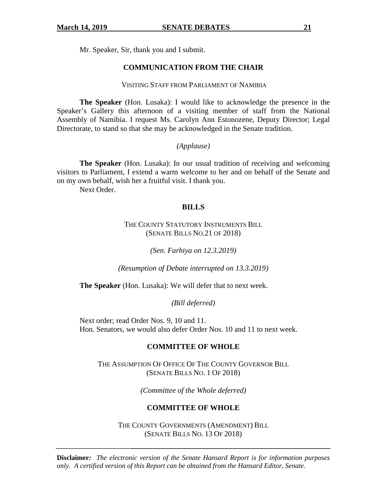Mr. Speaker, Sir, thank you and I submit.

### **COMMUNICATION FROM THE CHAIR**

#### VISITING STAFF FROM PARLIAMENT OF NAMIBIA

**The Speaker** (Hon. Lusaka): I would like to acknowledge the presence in the Speaker's Gallery this afternoon of a visiting member of staff from the National Assembly of Namibia. I request Ms. Carolyn Ann Estonozene, Deputy Director; Legal Directorate, to stand so that she may be acknowledged in the Senate tradition.

### *(Applause)*

**The Speaker** (Hon. Lusaka): In our usual tradition of receiving and welcoming visitors to Parliament, I extend a warm welcome to her and on behalf of the Senate and on my own behalf, wish her a fruitful visit. I thank you.

Next Order.

### **BILLS**

### THE COUNTY STATUTORY INSTRUMENTS BILL (SENATE BILLS NO.21 OF 2018)

*(Sen. Farhiya on 12.3.2019)* 

*(Resumption of Debate interrupted on 13.3.2019)* 

**The Speaker** (Hon. Lusaka): We will defer that to next week.

*(Bill deferred)* 

Next order; read Order Nos. 9, 10 and 11. Hon. Senators, we would also defer Order Nos. 10 and 11 to next week.

### **COMMITTEE OF WHOLE**

THE ASSUMPTION OF OFFICE OF THE COUNTY GOVERNOR BILL (SENATE BILLS NO. 1 OF 2018)

*(Committee of the Whole deferred)* 

### **COMMITTEE OF WHOLE**

THE COUNTY GOVERNMENTS (AMENDMENT) BILL (SENATE BILLS NO. 13 OF 2018)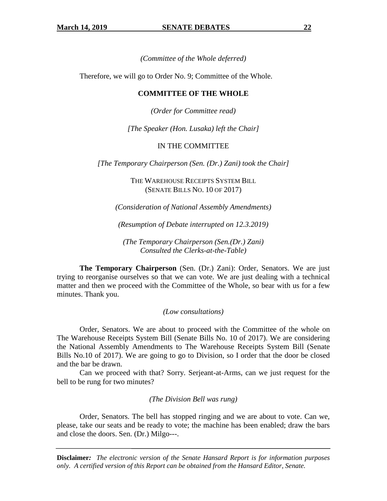*(Committee of the Whole deferred)* 

Therefore, we will go to Order No. 9; Committee of the Whole.

### **COMMITTEE OF THE WHOLE**

*(Order for Committee read)* 

*[The Speaker (Hon. Lusaka) left the Chair]* 

### IN THE COMMITTEE

*[The Temporary Chairperson (Sen. (Dr.) Zani) took the Chair]* 

### THE WAREHOUSE RECEIPTS SYSTEM BILL (SENATE BILLS NO. 10 OF 2017)

*(Consideration of National Assembly Amendments)* 

*(Resumption of Debate interrupted on 12.3.2019)* 

*(The Temporary Chairperson (Sen.(Dr.) Zani) Consulted the Clerks-at-the-Table)* 

**The Temporary Chairperson** (Sen. (Dr.) Zani): Order, Senators. We are just trying to reorganise ourselves so that we can vote. We are just dealing with a technical matter and then we proceed with the Committee of the Whole, so bear with us for a few minutes. Thank you.

#### *(Low consultations)*

Order, Senators. We are about to proceed with the Committee of the whole on The Warehouse Receipts System Bill (Senate Bills No. 10 of 2017). We are considering the National Assembly Amendments to The Warehouse Receipts System Bill (Senate Bills No.10 of 2017). We are going to go to Division, so I order that the door be closed and the bar be drawn.

Can we proceed with that? Sorry. Serjeant-at-Arms, can we just request for the bell to be rung for two minutes?

*(The Division Bell was rung)* 

Order, Senators. The bell has stopped ringing and we are about to vote. Can we, please, take our seats and be ready to vote; the machine has been enabled; draw the bars and close the doors. Sen. (Dr.) Milgo---.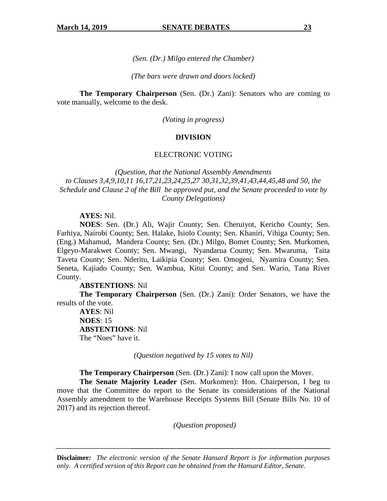*(Sen. (Dr.) Milgo entered the Chamber)* 

*(The bars were drawn and doors locked)* 

**The Temporary Chairperson** (Sen. (Dr.) Zani): Senators who are coming to vote manually, welcome to the desk.

*(Voting in progress)* 

#### **DIVISION**

#### ELECTRONIC VOTING

*(Question, that the National Assembly Amendments to Clauses 3,4,9,10,11 16,17,21,23,24,25,27 30,31,32,39,41,43,44,45,48 and 50, the Schedule and Clause 2 of the Bill be approved put, and the Senate proceeded to vote by County Delegations)* 

#### **AYES:** Nil.

**NOES**: Sen. (Dr.) Ali, Wajir County; Sen. Cheruiyot, Kericho County; Sen. Farhiya, Nairobi County; Sen. Halake, Isiolo County; Sen. Khaniri, Vihiga County; Sen. (Eng.) Mahamud, Mandera County; Sen. (Dr.) Milgo, Bomet County; Sen. Murkomen, Elgeyo-Marakwet County; Sen. Mwangi, Nyandarua County; Sen. Mwaruma, Taita Taveta County; Sen. Nderitu, Laikipia County; Sen. Omogeni, Nyamira County; Sen. Seneta, Kajiado County; Sen. Wambua, Kitui County; and Sen. Wario, Tana River County.

**ABSTENTIONS**: Nil

**The Temporary Chairperson** (Sen. (Dr.) Zani): Order Senators, we have the results of the vote.

**AYES**: Nil **NOES**: 15 **ABSTENTIONS**: Nil The "Noes" have it.

*(Question negatived by 15 votes to Nil)* 

**The Temporary Chairperson** (Sen. (Dr.) Zani): I now call upon the Mover.

**The Senate Majority Leader** (Sen. Murkomen): Hon. Chairperson, I beg to move that the Committee do report to the Senate its considerations of the National Assembly amendment to the Warehouse Receipts Systems Bill (Senate Bills No. 10 of 2017) and its rejection thereof.

*(Question proposed)*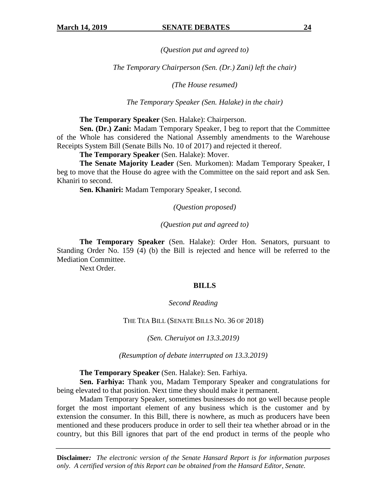*(Question put and agreed to)* 

*The Temporary Chairperson (Sen. (Dr.) Zani) left the chair)* 

*(The House resumed)* 

*The Temporary Speaker (Sen. Halake) in the chair)* 

**The Temporary Speaker** (Sen. Halake): Chairperson.

**Sen. (Dr.) Zani:** Madam Temporary Speaker, I beg to report that the Committee of the Whole has considered the National Assembly amendments to the Warehouse Receipts System Bill (Senate Bills No. 10 of 2017) and rejected it thereof.

**The Temporary Speaker** (Sen. Halake): Mover.

**The Senate Majority Leader** (Sen. Murkomen): Madam Temporary Speaker, I beg to move that the House do agree with the Committee on the said report and ask Sen. Khaniri to second.

**Sen. Khaniri:** Madam Temporary Speaker, I second.

*(Question proposed)* 

*(Question put and agreed to)* 

**The Temporary Speaker** (Sen. Halake): Order Hon. Senators, pursuant to Standing Order No. 159 (4) (b) the Bill is rejected and hence will be referred to the Mediation Committee.

Next Order.

#### **BILLS**

*Second Reading* 

THE TEA BILL (SENATE BILLS NO. 36 OF 2018)

*(Sen. Cheruiyot on 13.3.2019)* 

*(Resumption of debate interrupted on 13.3.2019)* 

**The Temporary Speaker** (Sen. Halake): Sen. Farhiya.

**Sen. Farhiya:** Thank you, Madam Temporary Speaker and congratulations for being elevated to that position. Next time they should make it permanent.

Madam Temporary Speaker, sometimes businesses do not go well because people forget the most important element of any business which is the customer and by extension the consumer. In this Bill, there is nowhere, as much as producers have been mentioned and these producers produce in order to sell their tea whether abroad or in the country, but this Bill ignores that part of the end product in terms of the people who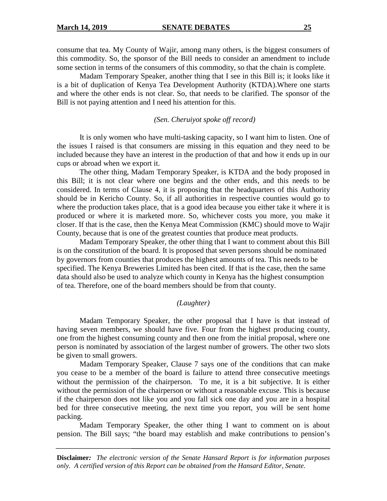consume that tea. My County of Wajir, among many others, is the biggest consumers of this commodity. So, the sponsor of the Bill needs to consider an amendment to include some section in terms of the consumers of this commodity, so that the chain is complete.

Madam Temporary Speaker, another thing that I see in this Bill is; it looks like it is a bit of duplication of Kenya Tea Development Authority (KTDA).Where one starts and where the other ends is not clear. So, that needs to be clarified. The sponsor of the Bill is not paying attention and I need his attention for this.

*(Sen. Cheruiyot spoke off record)* 

It is only women who have multi-tasking capacity, so I want him to listen. One of the issues I raised is that consumers are missing in this equation and they need to be included because they have an interest in the production of that and how it ends up in our cups or abroad when we export it.

The other thing, Madam Temporary Speaker, is KTDA and the body proposed in this Bill; it is not clear where one begins and the other ends, and this needs to be considered. In terms of Clause 4, it is proposing that the headquarters of this Authority should be in Kericho County. So, if all authorities in respective counties would go to where the production takes place, that is a good idea because you either take it where it is produced or where it is marketed more. So, whichever costs you more, you make it closer. If that is the case, then the Kenya Meat Commission (KMC) should move to Wajir County, because that is one of the greatest counties that produce meat products.

Madam Temporary Speaker, the other thing that I want to comment about this Bill is on the constitution of the board. It is proposed that seven persons should be nominated by governors from counties that produces the highest amounts of tea. This needs to be specified. The Kenya Breweries Limited has been cited. If that is the case, then the same data should also be used to analyze which county in Kenya has the highest consumption of tea. Therefore, one of the board members should be from that county.

#### *(Laughter)*

Madam Temporary Speaker, the other proposal that I have is that instead of having seven members, we should have five. Four from the highest producing county, one from the highest consuming county and then one from the initial proposal, where one person is nominated by association of the largest number of growers. The other two slots be given to small growers.

Madam Temporary Speaker, Clause 7 says one of the conditions that can make you cease to be a member of the board is failure to attend three consecutive meetings without the permission of the chairperson. To me, it is a bit subjective. It is either without the permission of the chairperson or without a reasonable excuse. This is because if the chairperson does not like you and you fall sick one day and you are in a hospital bed for three consecutive meeting, the next time you report, you will be sent home packing.

Madam Temporary Speaker, the other thing I want to comment on is about pension. The Bill says; "the board may establish and make contributions to pension's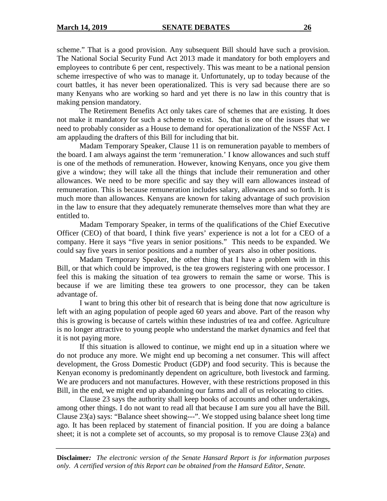scheme." That is a good provision. Any subsequent Bill should have such a provision. The National Social Security Fund Act 2013 made it mandatory for both employers and employees to contribute 6 per cent, respectively. This was meant to be a national pension scheme irrespective of who was to manage it. Unfortunately, up to today because of the court battles, it has never been operationalized. This is very sad because there are so many Kenyans who are working so hard and yet there is no law in this country that is making pension mandatory.

The Retirement Benefits Act only takes care of schemes that are existing. It does not make it mandatory for such a scheme to exist. So, that is one of the issues that we need to probably consider as a House to demand for operationalization of the NSSF Act. I am applauding the drafters of this Bill for including that bit.

Madam Temporary Speaker, Clause 11 is on remuneration payable to members of the board. I am always against the term 'remuneration.' I know allowances and such stuff is one of the methods of remuneration. However, knowing Kenyans, once you give them give a window; they will take all the things that include their remuneration and other allowances. We need to be more specific and say they will earn allowances instead of remuneration. This is because remuneration includes salary, allowances and so forth. It is much more than allowances. Kenyans are known for taking advantage of such provision in the law to ensure that they adequately remunerate themselves more than what they are entitled to.

Madam Temporary Speaker, in terms of the qualifications of the Chief Executive Officer (CEO) of that board, I think five years' experience is not a lot for a CEO of a company. Here it says "five years in senior positions." This needs to be expanded. We could say five years in senior positions and a number of years also in other positions.

Madam Temporary Speaker, the other thing that I have a problem with in this Bill, or that which could be improved, is the tea growers registering with one processor. I feel this is making the situation of tea growers to remain the same or worse. This is because if we are limiting these tea growers to one processor, they can be taken advantage of.

I want to bring this other bit of research that is being done that now agriculture is left with an aging population of people aged 60 years and above. Part of the reason why this is growing is because of cartels within these industries of tea and coffee. Agriculture is no longer attractive to young people who understand the market dynamics and feel that it is not paying more.

If this situation is allowed to continue, we might end up in a situation where we do not produce any more. We might end up becoming a net consumer. This will affect development, the Gross Domestic Product (GDP) and food security. This is because the Kenyan economy is predominantly dependent on agriculture, both livestock and farming. We are producers and not manufactures. However, with these restrictions proposed in this Bill, in the end, we might end up abandoning our farms and all of us relocating to cities.

Clause 23 says the authority shall keep books of accounts and other undertakings, among other things. I do not want to read all that because I am sure you all have the Bill. Clause 23(a) says: "Balance sheet showing---". We stopped using balance sheet long time ago. It has been replaced by statement of financial position. If you are doing a balance sheet; it is not a complete set of accounts, so my proposal is to remove Clause 23(a) and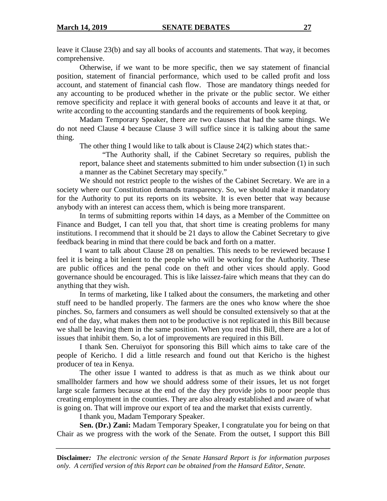leave it Clause 23(b) and say all books of accounts and statements. That way, it becomes comprehensive.

Otherwise, if we want to be more specific, then we say statement of financial position, statement of financial performance, which used to be called profit and loss account, and statement of financial cash flow. Those are mandatory things needed for any accounting to be produced whether in the private or the public sector. We either remove specificity and replace it with general books of accounts and leave it at that, or write according to the accounting standards and the requirements of book keeping.

Madam Temporary Speaker, there are two clauses that had the same things. We do not need Clause 4 because Clause 3 will suffice since it is talking about the same thing.

The other thing I would like to talk about is Clause 24(2) which states that:-

"The Authority shall, if the Cabinet Secretary so requires, publish the report, balance sheet and statements submitted to him under subsection (1) in such a manner as the Cabinet Secretary may specify."

We should not restrict people to the wishes of the Cabinet Secretary. We are in a society where our Constitution demands transparency. So, we should make it mandatory for the Authority to put its reports on its website. It is even better that way because anybody with an interest can access them, which is being more transparent.

In terms of submitting reports within 14 days, as a Member of the Committee on Finance and Budget, I can tell you that, that short time is creating problems for many institutions. I recommend that it should be 21 days to allow the Cabinet Secretary to give feedback bearing in mind that there could be back and forth on a matter.

I want to talk about Clause 28 on penalties. This needs to be reviewed because I feel it is being a bit lenient to the people who will be working for the Authority. These are public offices and the penal code on theft and other vices should apply. Good governance should be encouraged. This is like laissez-faire which means that they can do anything that they wish.

In terms of marketing, like I talked about the consumers, the marketing and other stuff need to be handled properly. The farmers are the ones who know where the shoe pinches. So, farmers and consumers as well should be consulted extensively so that at the end of the day, what makes them not to be productive is not replicated in this Bill because we shall be leaving them in the same position. When you read this Bill, there are a lot of issues that inhibit them. So, a lot of improvements are required in this Bill.

I thank Sen. Cheruiyot for sponsoring this Bill which aims to take care of the people of Kericho. I did a little research and found out that Kericho is the highest producer of tea in Kenya.

The other issue I wanted to address is that as much as we think about our smallholder farmers and how we should address some of their issues, let us not forget large scale farmers because at the end of the day they provide jobs to poor people thus creating employment in the counties. They are also already established and aware of what is going on. That will improve our export of tea and the market that exists currently.

I thank you, Madam Temporary Speaker.

**Sen. (Dr.) Zani:** Madam Temporary Speaker, I congratulate you for being on that Chair as we progress with the work of the Senate. From the outset, I support this Bill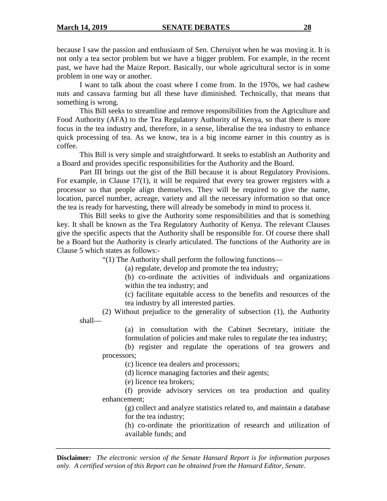because I saw the passion and enthusiasm of Sen. Cheruiyot when he was moving it. It is not only a tea sector problem but we have a bigger problem. For example, in the recent past, we have had the Maize Report. Basically, our whole agricultural sector is in some problem in one way or another.

I want to talk about the coast where I come from. In the 1970s, we had cashew nuts and cassava farming but all these have diminished. Technically, that means that something is wrong.

This Bill seeks to streamline and remove responsibilities from the Agriculture and Food Authority (AFA) to the Tea Regulatory Authority of Kenya, so that there is more focus in the tea industry and, therefore, in a sense, liberalise the tea industry to enhance quick processing of tea. As we know, tea is a big income earner in this country as is coffee.

This Bill is very simple and straightforward. It seeks to establish an Authority and a Board and provides specific responsibilities for the Authority and the Board.

Part III brings out the gist of the Bill because it is about Regulatory Provisions. For example, in Clause 17(1), it will be required that every tea grower registers with a processor so that people align themselves. They will be required to give the name, location, parcel number, acreage, variety and all the necessary information so that once the tea is ready for harvesting, there will already be somebody in mind to process it.

This Bill seeks to give the Authority some responsibilities and that is something key. It shall be known as the Tea Regulatory Authority of Kenya. The relevant Clauses give the specific aspects that the Authority shall be responsible for. Of course there shall be a Board but the Authority is clearly articulated. The functions of the Authority are in Clause 5 which states as follows:-

"(1) The Authority shall perform the following functions—

(a) regulate, develop and promote the tea industry;

(b) co-ordinate the activities of individuals and organizations within the tea industry; and

(c) facilitate equitable access to the benefits and resources of the tea industry by all interested parties.

(2) Without prejudice to the generality of subsection (1), the Authority shall—

> (a) in consultation with the Cabinet Secretary, initiate the formulation of policies and make rules to regulate the tea industry;

(b) register and regulate the operations of tea growers and processors;

(c) licence tea dealers and processors;

(d) licence managing factories and their agents;

(e) licence tea brokers;

(f) provide advisory services on tea production and quality enhancement;

(g) collect and analyze statistics related to, and maintain a database for the tea industry;

(h) co-ordinate the prioritization of research and utilization of available funds; and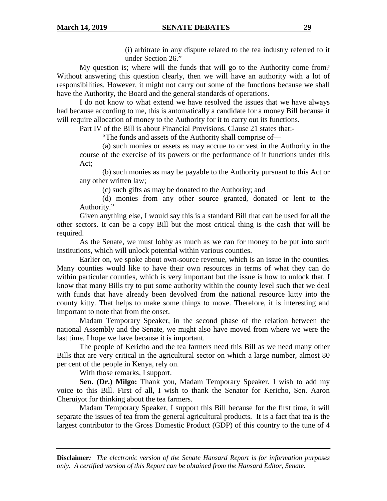(i) arbitrate in any dispute related to the tea industry referred to it under Section 26."

 My question is; where will the funds that will go to the Authority come from? Without answering this question clearly, then we will have an authority with a lot of responsibilities. However, it might not carry out some of the functions because we shall have the Authority, the Board and the general standards of operations.

 I do not know to what extend we have resolved the issues that we have always had because according to me, this is automatically a candidate for a money Bill because it will require allocation of money to the Authority for it to carry out its functions.

Part IV of the Bill is about Financial Provisions. Clause 21 states that:-

"The funds and assets of the Authority shall comprise of—

(a) such monies or assets as may accrue to or vest in the Authority in the course of the exercise of its powers or the performance of it functions under this Act;

(b) such monies as may be payable to the Authority pursuant to this Act or any other written law;

(c) such gifts as may be donated to the Authority; and

(d) monies from any other source granted, donated or lent to the Authority."

Given anything else, I would say this is a standard Bill that can be used for all the other sectors. It can be a copy Bill but the most critical thing is the cash that will be required.

As the Senate, we must lobby as much as we can for money to be put into such institutions, which will unlock potential within various counties.

Earlier on, we spoke about own-source revenue, which is an issue in the counties. Many counties would like to have their own resources in terms of what they can do within particular counties, which is very important but the issue is how to unlock that. I know that many Bills try to put some authority within the county level such that we deal with funds that have already been devolved from the national resource kitty into the county kitty. That helps to make some things to move. Therefore, it is interesting and important to note that from the onset.

Madam Temporary Speaker, in the second phase of the relation between the national Assembly and the Senate, we might also have moved from where we were the last time. I hope we have because it is important.

The people of Kericho and the tea farmers need this Bill as we need many other Bills that are very critical in the agricultural sector on which a large number, almost 80 per cent of the people in Kenya, rely on.

With those remarks, I support.

**Sen. (Dr.) Milgo:** Thank you, Madam Temporary Speaker. I wish to add my voice to this Bill. First of all, I wish to thank the Senator for Kericho, Sen. Aaron Cheruiyot for thinking about the tea farmers.

Madam Temporary Speaker, I support this Bill because for the first time, it will separate the issues of tea from the general agricultural products. It is a fact that tea is the largest contributor to the Gross Domestic Product (GDP) of this country to the tune of 4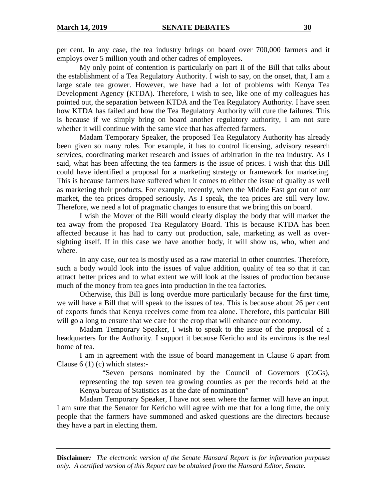per cent. In any case, the tea industry brings on board over 700,000 farmers and it employs over 5 million youth and other cadres of employees.

My only point of contention is particularly on part II of the Bill that talks about the establishment of a Tea Regulatory Authority. I wish to say, on the onset, that, I am a large scale tea grower. However, we have had a lot of problems with Kenya Tea Development Agency **(**KTDA). Therefore, I wish to see, like one of my colleagues has pointed out, the separation between KTDA and the Tea Regulatory Authority. I have seen how KTDA has failed and how the Tea Regulatory Authority will cure the failures. This is because if we simply bring on board another regulatory authority, I am not sure whether it will continue with the same vice that has affected farmers.

Madam Temporary Speaker, the proposed Tea Regulatory Authority has already been given so many roles. For example, it has to control licensing, advisory research services, coordinating market research and issues of arbitration in the tea industry. As I said, what has been affecting the tea farmers is the issue of prices. I wish that this Bill could have identified a proposal for a marketing strategy or framework for marketing. This is because farmers have suffered when it comes to either the issue of quality as well as marketing their products. For example, recently, when the Middle East got out of our market, the tea prices dropped seriously. As I speak, the tea prices are still very low. Therefore, we need a lot of pragmatic changes to ensure that we bring this on board.

I wish the Mover of the Bill would clearly display the body that will market the tea away from the proposed Tea Regulatory Board. This is because KTDA has been affected because it has had to carry out production, sale, marketing as well as oversighting itself. If in this case we have another body, it will show us, who, when and where.

In any case, our tea is mostly used as a raw material in other countries. Therefore, such a body would look into the issues of value addition, quality of tea so that it can attract better prices and to what extent we will look at the issues of production because much of the money from tea goes into production in the tea factories.

Otherwise, this Bill is long overdue more particularly because for the first time, we will have a Bill that will speak to the issues of tea. This is because about 26 per cent of exports funds that Kenya receives come from tea alone. Therefore, this particular Bill will go a long to ensure that we care for the crop that will enhance our economy.

Madam Temporary Speaker, I wish to speak to the issue of the proposal of a headquarters for the Authority. I support it because Kericho and its environs is the real home of tea.

I am in agreement with the issue of board management in Clause 6 apart from Clause  $6(1)(c)$  which states:-

"Seven persons nominated by the Council of Governors (CoGs), representing the top seven tea growing counties as per the records held at the Kenya bureau of Statistics as at the date of nomination"

Madam Temporary Speaker, I have not seen where the farmer will have an input. I am sure that the Senator for Kericho will agree with me that for a long time, the only people that the farmers have summoned and asked questions are the directors because they have a part in electing them.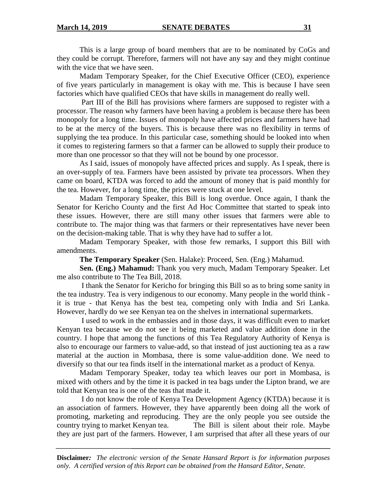This is a large group of board members that are to be nominated by CoGs and they could be corrupt. Therefore, farmers will not have any say and they might continue with the vice that we have seen.

Madam Temporary Speaker, for the Chief Executive Officer (CEO), experience of five years particularly in management is okay with me. This is because I have seen factories which have qualified CEOs that have skills in management do really well.

 Part III of the Bill has provisions where farmers are supposed to register with a processor. The reason why farmers have been having a problem is because there has been monopoly for a long time. Issues of monopoly have affected prices and farmers have had to be at the mercy of the buyers. This is because there was no flexibility in terms of supplying the tea produce. In this particular case, something should be looked into when it comes to registering farmers so that a farmer can be allowed to supply their produce to more than one processor so that they will not be bound by one processor.

As I said, issues of monopoly have affected prices and supply. As I speak, there is an over-supply of tea. Farmers have been assisted by private tea processors. When they came on board, KTDA was forced to add the amount of money that is paid monthly for the tea. However, for a long time, the prices were stuck at one level.

Madam Temporary Speaker, this Bill is long overdue. Once again, I thank the Senator for Kericho County and the first Ad Hoc Committee that started to speak into these issues. However, there are still many other issues that farmers were able to contribute to. The major thing was that farmers or their representatives have never been on the decision-making table. That is why they have had to suffer a lot.

Madam Temporary Speaker, with those few remarks, I support this Bill with amendments.

**The Temporary Speaker** (Sen. Halake): Proceed, Sen. (Eng.) Mahamud.

**Sen. (Eng.) Mahamud:** Thank you very much, Madam Temporary Speaker. Let me also contribute to The Tea Bill, 2018.

 I thank the Senator for Kericho for bringing this Bill so as to bring some sanity in the tea industry. Tea is very indigenous to our economy. Many people in the world think it is true - that Kenya has the best tea, competing only with India and Sri Lanka. However, hardly do we see Kenyan tea on the shelves in international supermarkets.

 I used to work in the embassies and in those days, it was difficult even to market Kenyan tea because we do not see it being marketed and value addition done in the country. I hope that among the functions of this Tea Regulatory Authority of Kenya is also to encourage our farmers to value-add, so that instead of just auctioning tea as a raw material at the auction in Mombasa, there is some value-addition done. We need to diversify so that our tea finds itself in the international market as a product of Kenya.

 Madam Temporary Speaker, today tea which leaves our port in Mombasa, is mixed with others and by the time it is packed in tea bags under the Lipton brand, we are told that Kenyan tea is one of the teas that made it.

 I do not know the role of Kenya Tea Development Agency (KTDA) because it is an association of farmers. However, they have apparently been doing all the work of promoting, marketing and reproducing. They are the only people you see outside the country trying to market Kenyan tea. The Bill is silent about their role. Maybe they are just part of the farmers. However, I am surprised that after all these years of our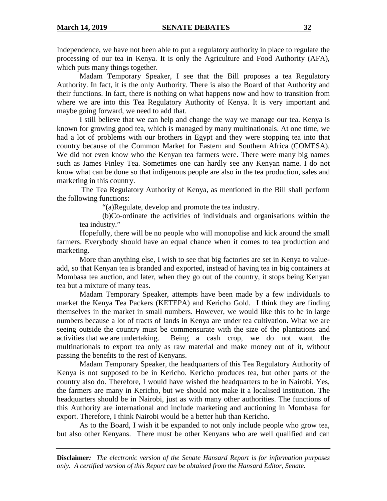Independence, we have not been able to put a regulatory authority in place to regulate the processing of our tea in Kenya. It is only the Agriculture and Food Authority (AFA), which puts many things together.

 Madam Temporary Speaker, I see that the Bill proposes a tea Regulatory Authority. In fact, it is the only Authority. There is also the Board of that Authority and their functions. In fact, there is nothing on what happens now and how to transition from where we are into this Tea Regulatory Authority of Kenya. It is very important and maybe going forward, we need to add that.

 I still believe that we can help and change the way we manage our tea. Kenya is known for growing good tea, which is managed by many multinationals. At one time, we had a lot of problems with our brothers in Egypt and they were stopping tea into that country because of the Common Market for Eastern and Southern Africa (COMESA). We did not even know who the Kenyan tea farmers were. There were many big names such as James Finley Tea. Sometimes one can hardly see any Kenyan name. I do not know what can be done so that indigenous people are also in the tea production, sales and marketing in this country.

 The Tea Regulatory Authority of Kenya, as mentioned in the Bill shall perform the following functions:

"(a)Regulate, develop and promote the tea industry.

(b)Co-ordinate the activities of individuals and organisations within the tea industry."

 Hopefully, there will be no people who will monopolise and kick around the small farmers. Everybody should have an equal chance when it comes to tea production and marketing.

 More than anything else, I wish to see that big factories are set in Kenya to valueadd, so that Kenyan tea is branded and exported, instead of having tea in big containers at Mombasa tea auction, and later, when they go out of the country, it stops being Kenyan tea but a mixture of many teas.

 Madam Temporary Speaker, attempts have been made by a few individuals to market the Kenya Tea Packers (KETEPA) and Kericho Gold. I think they are finding themselves in the market in small numbers. However, we would like this to be in large numbers because a lot of tracts of lands in Kenya are under tea cultivation. What we are seeing outside the country must be commensurate with the size of the plantations and activities that we are undertaking. Being a cash crop, we do not want the multinationals to export tea only as raw material and make money out of it, without passing the benefits to the rest of Kenyans.

 Madam Temporary Speaker, the headquarters of this Tea Regulatory Authority of Kenya is not supposed to be in Kericho. Kericho produces tea, but other parts of the country also do. Therefore, I would have wished the headquarters to be in Nairobi. Yes, the farmers are many in Kericho, but we should not make it a localised institution. The headquarters should be in Nairobi, just as with many other authorities. The functions of this Authority are international and include marketing and auctioning in Mombasa for export. Therefore, I think Nairobi would be a better hub than Kericho.

 As to the Board, I wish it be expanded to not only include people who grow tea, but also other Kenyans. There must be other Kenyans who are well qualified and can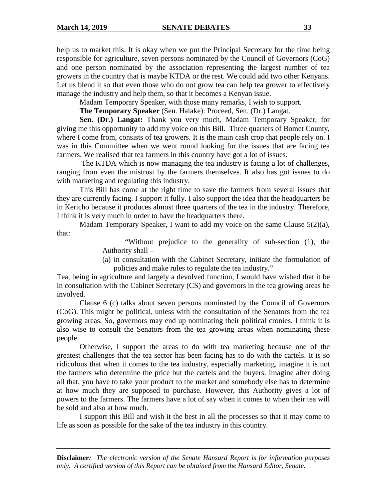help us to market this. It is okay when we put the Principal Secretary for the time being responsible for agriculture, seven persons nominated by the Council of Governors (CoG) and one person nominated by the association representing the largest number of tea growers in the country that is maybe KTDA or the rest. We could add two other Kenyans. Let us blend it so that even those who do not grow tea can help tea grower to effectively manage the industry and help them, so that it becomes a Kenyan issue.

Madam Temporary Speaker, with those many remarks, I wish to support.

**The Temporary Speaker** (Sen. Halake): Proceed, Sen. (Dr.) Langat.

**Sen. (Dr.) Langat:** Thank you very much, Madam Temporary Speaker, for giving me this opportunity to add my voice on this Bill. Three quarters of Bomet County, where I come from, consists of tea growers. It is the main cash crop that people rely on. I was in this Committee when we went round looking for the issues that are facing tea farmers. We realised that tea farmers in this country have got a lot of issues.

 The KTDA which is now managing the tea industry is facing a lot of challenges, ranging from even the mistrust by the farmers themselves. It also has got issues to do with marketing and regulating this industry.

 This Bill has come at the right time to save the farmers from several issues that they are currently facing. I support it fully. I also support the idea that the headquarters be in Kericho because it produces almost three quarters of the tea in the industry. Therefore, I think it is very much in order to have the headquarters there.

 Madam Temporary Speaker, I want to add my voice on the same Clause 5(2)(a), that:

> "Without prejudice to the generality of sub-section (1), the Authority shall –

> (a) in consultation with the Cabinet Secretary, initiate the formulation of policies and make rules to regulate the tea industry."

Tea, being in agriculture and largely a devolved function, I would have wished that it be in consultation with the Cabinet Secretary (CS) and governors in the tea growing areas be involved.

 Clause 6 (c) talks about seven persons nominated by the Council of Governors (CoG). This might be political, unless with the consultation of the Senators from the tea growing areas. So, governors may end up nominating their political cronies. I think it is also wise to consult the Senators from the tea growing areas when nominating these people.

 Otherwise, I support the areas to do with tea marketing because one of the greatest challenges that the tea sector has been facing has to do with the cartels. It is so ridiculous that when it comes to the tea industry, especially marketing, imagine it is not the farmers who determine the price but the cartels and the buyers. Imagine after doing all that, you have to take your product to the market and somebody else has to determine at how much they are supposed to purchase. However, this Authority gives a lot of powers to the farmers. The farmers have a lot of say when it comes to when their tea will be sold and also at how much.

 I support this Bill and wish it the best in all the processes so that it may come to life as soon as possible for the sake of the tea industry in this country.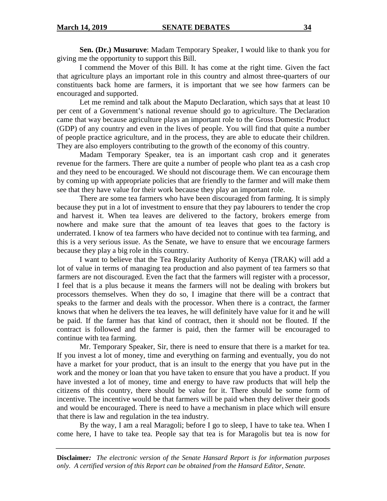**Sen. (Dr.) Musuruve**: Madam Temporary Speaker, I would like to thank you for giving me the opportunity to support this Bill.

 I commend the Mover of this Bill. It has come at the right time. Given the fact that agriculture plays an important role in this country and almost three-quarters of our constituents back home are farmers, it is important that we see how farmers can be encouraged and supported.

 Let me remind and talk about the Maputo Declaration, which says that at least 10 per cent of a Government's national revenue should go to agriculture. The Declaration came that way because agriculture plays an important role to the Gross Domestic Product (GDP) of any country and even in the lives of people. You will find that quite a number of people practice agriculture, and in the process, they are able to educate their children. They are also employers contributing to the growth of the economy of this country.

 Madam Temporary Speaker, tea is an important cash crop and it generates revenue for the farmers. There are quite a number of people who plant tea as a cash crop and they need to be encouraged. We should not discourage them. We can encourage them by coming up with appropriate policies that are friendly to the farmer and will make them see that they have value for their work because they play an important role.

 There are some tea farmers who have been discouraged from farming. It is simply because they put in a lot of investment to ensure that they pay labourers to tender the crop and harvest it. When tea leaves are delivered to the factory, brokers emerge from nowhere and make sure that the amount of tea leaves that goes to the factory is underrated. I know of tea farmers who have decided not to continue with tea farming, and this is a very serious issue. As the Senate, we have to ensure that we encourage farmers because they play a big role in this country.

 I want to believe that the Tea Regularity Authority of Kenya (TRAK) will add a lot of value in terms of managing tea production and also payment of tea farmers so that farmers are not discouraged. Even the fact that the farmers will register with a processor, I feel that is a plus because it means the farmers will not be dealing with brokers but processors themselves. When they do so, I imagine that there will be a contract that speaks to the farmer and deals with the processor. When there is a contract, the farmer knows that when he delivers the tea leaves, he will definitely have value for it and he will be paid. If the farmer has that kind of contract, then it should not be flouted. If the contract is followed and the farmer is paid, then the farmer will be encouraged to continue with tea farming.

 Mr. Temporary Speaker, Sir, there is need to ensure that there is a market for tea. If you invest a lot of money, time and everything on farming and eventually, you do not have a market for your product, that is an insult to the energy that you have put in the work and the money or loan that you have taken to ensure that you have a product. If you have invested a lot of money, time and energy to have raw products that will help the citizens of this country, there should be value for it. There should be some form of incentive. The incentive would be that farmers will be paid when they deliver their goods and would be encouraged. There is need to have a mechanism in place which will ensure that there is law and regulation in the tea industry.

 By the way, I am a real Maragoli; before I go to sleep, I have to take tea. When I come here, I have to take tea. People say that tea is for Maragolis but tea is now for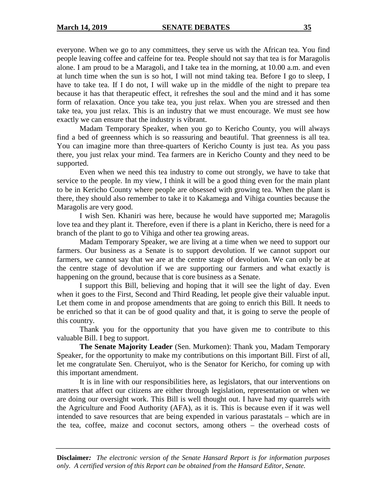everyone. When we go to any committees, they serve us with the African tea. You find people leaving coffee and caffeine for tea. People should not say that tea is for Maragolis alone. I am proud to be a Maragoli, and I take tea in the morning, at 10.00 a.m. and even at lunch time when the sun is so hot, I will not mind taking tea. Before I go to sleep, I have to take tea. If I do not, I will wake up in the middle of the night to prepare tea because it has that therapeutic effect, it refreshes the soul and the mind and it has some form of relaxation. Once you take tea, you just relax. When you are stressed and then take tea, you just relax. This is an industry that we must encourage. We must see how exactly we can ensure that the industry is vibrant.

Madam Temporary Speaker, when you go to Kericho County, you will always find a bed of greenness which is so reassuring and beautiful. That greenness is all tea. You can imagine more than three-quarters of Kericho County is just tea. As you pass there, you just relax your mind. Tea farmers are in Kericho County and they need to be supported.

Even when we need this tea industry to come out strongly, we have to take that service to the people. In my view, I think it will be a good thing even for the main plant to be in Kericho County where people are obsessed with growing tea. When the plant is there, they should also remember to take it to Kakamega and Vihiga counties because the Maragolis are very good.

I wish Sen. Khaniri was here, because he would have supported me; Maragolis love tea and they plant it. Therefore, even if there is a plant in Kericho, there is need for a branch of the plant to go to Vihiga and other tea growing areas.

Madam Temporary Speaker, we are living at a time when we need to support our farmers. Our business as a Senate is to support devolution. If we cannot support our farmers, we cannot say that we are at the centre stage of devolution. We can only be at the centre stage of devolution if we are supporting our farmers and what exactly is happening on the ground, because that is core business as a Senate.

I support this Bill, believing and hoping that it will see the light of day. Even when it goes to the First, Second and Third Reading, let people give their valuable input. Let them come in and propose amendments that are going to enrich this Bill. It needs to be enriched so that it can be of good quality and that, it is going to serve the people of this country.

Thank you for the opportunity that you have given me to contribute to this valuable Bill. I beg to support.

**The Senate Majority Leader** (Sen. Murkomen): Thank you, Madam Temporary Speaker, for the opportunity to make my contributions on this important Bill. First of all, let me congratulate Sen. Cheruiyot, who is the Senator for Kericho, for coming up with this important amendment.

It is in line with our responsibilities here, as legislators, that our interventions on matters that affect our citizens are either through legislation, representation or when we are doing our oversight work. This Bill is well thought out. I have had my quarrels with the Agriculture and Food Authority (AFA), as it is. This is because even if it was well intended to save resources that are being expended in various parastatals – which are in the tea, coffee, maize and coconut sectors, among others – the overhead costs of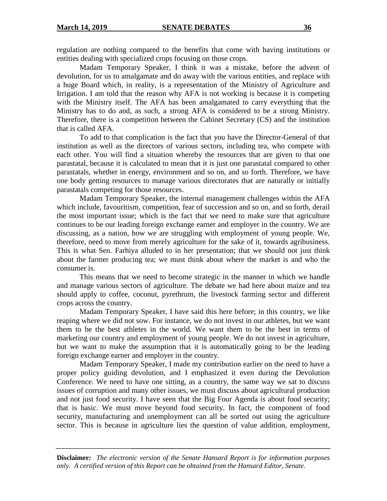regulation are nothing compared to the benefits that come with having institutions or entities dealing with specialized crops focusing on those crops.

Madam Temporary Speaker, I think it was a mistake, before the advent of devolution, for us to amalgamate and do away with the various entities, and replace with a huge Board which, in reality, is a representation of the Ministry of Agriculture and Irrigation. I am told that the reason why AFA is not working is because it is competing with the Ministry itself. The AFA has been amalgamated to carry everything that the Ministry has to do and, as such, a strong AFA is considered to be a strong Ministry. Therefore, there is a competition between the Cabinet Secretary (CS) and the institution that is called AFA.

To add to that complication is the fact that you have the Director-General of that institution as well as the directors of various sectors, including tea, who compete with each other. You will find a situation whereby the resources that are given to that one parastatal, because it is calculated to mean that it is just one parastatal compared to other parastatals, whether in energy, environment and so on, and so forth. Therefore, we have one body getting resources to manage various directorates that are naturally or initially parastatals competing for those resources.

Madam Temporary Speaker, the internal management challenges within the AFA which include, favouritism, competition, fear of succession and so on, and so forth, derail the most important issue; which is the fact that we need to make sure that agriculture continues to be our leading foreign exchange earner and employer in the country. We are discussing, as a nation, how we are struggling with employment of young people. We, therefore, need to move from merely agriculture for the sake of it, towards agribusiness. This is what Sen. Farhiya alluded to in her presentation; that we should not just think about the farmer producing tea; we must think about where the market is and who the consumer is.

This means that we need to become strategic in the manner in which we handle and manage various sectors of agriculture. The debate we had here about maize and tea should apply to coffee, coconut, pyrethrum, the livestock farming sector and different crops across the country.

Madam Temporary Speaker, I have said this here before; in this country, we like reaping where we did not sow. For instance, we do not invest in our athletes, but we want them to be the best athletes in the world. We want them to be the best in terms of marketing our country and employment of young people. We do not invest in agriculture, but we want to make the assumption that it is automatically going to be the leading foreign exchange earner and employer in the country.

Madam Temporary Speaker, I made my contribution earlier on the need to have a proper policy guiding devolution, and I emphasized it even during the Devolution Conference. We need to have one sitting, as a country, the same way we sat to discuss issues of corruption and many other issues, we must discuss about agricultural production and not just food security. I have seen that the Big Four Agenda is about food security; that is basic. We must move beyond food security. In fact, the component of food security, manufacturing and unemployment can all be sorted out using the agriculture sector. This is because in agriculture lies the question of value addition, employment,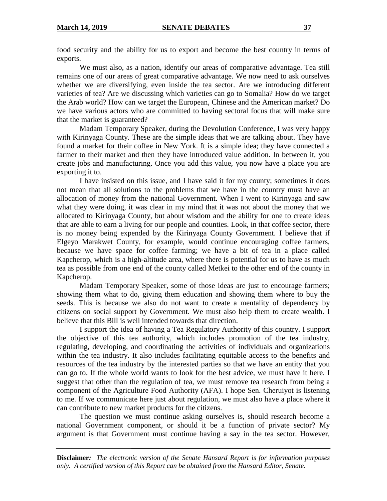food security and the ability for us to export and become the best country in terms of exports.

We must also, as a nation, identify our areas of comparative advantage. Tea still remains one of our areas of great comparative advantage. We now need to ask ourselves whether we are diversifying, even inside the tea sector. Are we introducing different varieties of tea? Are we discussing which varieties can go to Somalia? How do we target the Arab world? How can we target the European, Chinese and the American market? Do we have various actors who are committed to having sectoral focus that will make sure that the market is guaranteed?

Madam Temporary Speaker, during the Devolution Conference, I was very happy with Kirinyaga County. These are the simple ideas that we are talking about. They have found a market for their coffee in New York. It is a simple idea; they have connected a farmer to their market and then they have introduced value addition. In between it, you create jobs and manufacturing. Once you add this value, you now have a place you are exporting it to.

I have insisted on this issue, and I have said it for my county; sometimes it does not mean that all solutions to the problems that we have in the country must have an allocation of money from the national Government. When I went to Kirinyaga and saw what they were doing, it was clear in my mind that it was not about the money that we allocated to Kirinyaga County, but about wisdom and the ability for one to create ideas that are able to earn a living for our people and counties. Look, in that coffee sector, there is no money being expended by the Kirinyaga County Government. I believe that if Elgeyo Marakwet County, for example, would continue encouraging coffee farmers, because we have space for coffee farming; we have a bit of tea in a place called Kapcherop, which is a high-altitude area, where there is potential for us to have as much tea as possible from one end of the county called Metkei to the other end of the county in Kapcherop.

Madam Temporary Speaker, some of those ideas are just to encourage farmers; showing them what to do, giving them education and showing them where to buy the seeds. This is because we also do not want to create a mentality of dependency by citizens on social support by Government. We must also help them to create wealth. I believe that this Bill is well intended towards that direction.

I support the idea of having a Tea Regulatory Authority of this country. I support the objective of this tea authority, which includes promotion of the tea industry, regulating, developing, and coordinating the activities of individuals and organizations within the tea industry. It also includes facilitating equitable access to the benefits and resources of the tea industry by the interested parties so that we have an entity that you can go to. If the whole world wants to look for the best advice, we must have it here. I suggest that other than the regulation of tea, we must remove tea research from being a component of the Agriculture Food Authority (AFA). I hope Sen. Cheruiyot is listening to me. If we communicate here just about regulation, we must also have a place where it can contribute to new market products for the citizens.

 The question we must continue asking ourselves is, should research become a national Government component, or should it be a function of private sector? My argument is that Government must continue having a say in the tea sector. However,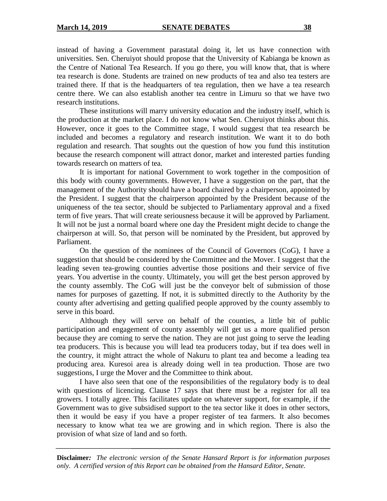instead of having a Government parastatal doing it, let us have connection with universities. Sen. Cheruiyot should propose that the University of Kabianga be known as the Centre of National Tea Research. If you go there, you will know that, that is where tea research is done. Students are trained on new products of tea and also tea testers are trained there. If that is the headquarters of tea regulation, then we have a tea research centre there. We can also establish another tea centre in Limuru so that we have two research institutions.

These institutions will marry university education and the industry itself, which is the production at the market place. I do not know what Sen. Cheruiyot thinks about this. However, once it goes to the Committee stage, I would suggest that tea research be included and becomes a regulatory and research institution. We want it to do both regulation and research. That soughts out the question of how you fund this institution because the research component will attract donor, market and interested parties funding towards research on matters of tea.

It is important for national Government to work together in the composition of this body with county governments. However, I have a suggestion on the part, that the management of the Authority should have a board chaired by a chairperson, appointed by the President. I suggest that the chairperson appointed by the President because of the uniqueness of the tea sector, should be subjected to Parliamentary approval and a fixed term of five years. That will create seriousness because it will be approved by Parliament. It will not be just a normal board where one day the President might decide to change the chairperson at will. So, that person will be nominated by the President, but approved by Parliament.

On the question of the nominees of the Council of Governors (CoG), I have a suggestion that should be considered by the Committee and the Mover. I suggest that the leading seven tea-growing counties advertise those positions and their service of five years. You advertise in the county. Ultimately, you will get the best person approved by the county assembly. The CoG will just be the conveyor belt of submission of those names for purposes of gazetting. If not, it is submitted directly to the Authority by the county after advertising and getting qualified people approved by the county assembly to serve in this board.

Although they will serve on behalf of the counties, a little bit of public participation and engagement of county assembly will get us a more qualified person because they are coming to serve the nation. They are not just going to serve the leading tea producers. This is because you will lead tea producers today, but if tea does well in the country, it might attract the whole of Nakuru to plant tea and become a leading tea producing area. Kuresoi area is already doing well in tea production. Those are two suggestions, I urge the Mover and the Committee to think about.

I have also seen that one of the responsibilities of the regulatory body is to deal with questions of licencing. Clause 17 says that there must be a register for all tea growers. I totally agree. This facilitates update on whatever support, for example, if the Government was to give subsidised support to the tea sector like it does in other sectors, then it would be easy if you have a proper register of tea farmers. It also becomes necessary to know what tea we are growing and in which region. There is also the provision of what size of land and so forth.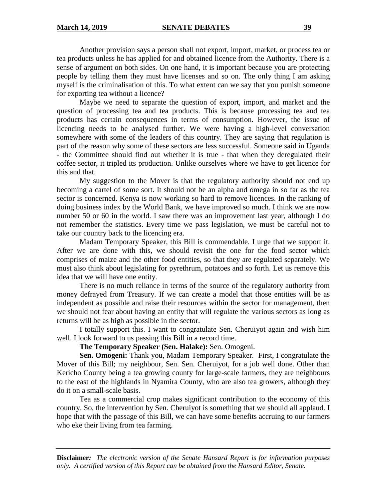Another provision says a person shall not export, import, market, or process tea or tea products unless he has applied for and obtained licence from the Authority. There is a sense of argument on both sides. On one hand, it is important because you are protecting people by telling them they must have licenses and so on. The only thing I am asking myself is the criminalisation of this. To what extent can we say that you punish someone for exporting tea without a licence?

Maybe we need to separate the question of export, import, and market and the question of processing tea and tea products. This is because processing tea and tea products has certain consequences in terms of consumption. However, the issue of licencing needs to be analysed further. We were having a high-level conversation somewhere with some of the leaders of this country. They are saying that regulation is part of the reason why some of these sectors are less successful. Someone said in Uganda - the Committee should find out whether it is true - that when they deregulated their coffee sector, it tripled its production. Unlike ourselves where we have to get licence for this and that.

My suggestion to the Mover is that the regulatory authority should not end up becoming a cartel of some sort. It should not be an alpha and omega in so far as the tea sector is concerned. Kenya is now working so hard to remove licences. In the ranking of doing business index by the World Bank, we have improved so much. I think we are now number 50 or 60 in the world. I saw there was an improvement last year, although I do not remember the statistics. Every time we pass legislation, we must be careful not to take our country back to the licencing era.

Madam Temporary Speaker, this Bill is commendable. I urge that we support it. After we are done with this, we should revisit the one for the food sector which comprises of maize and the other food entities, so that they are regulated separately. We must also think about legislating for pyrethrum, potatoes and so forth. Let us remove this idea that we will have one entity.

There is no much reliance in terms of the source of the regulatory authority from money defrayed from Treasury. If we can create a model that those entities will be as independent as possible and raise their resources within the sector for management, then we should not fear about having an entity that will regulate the various sectors as long as returns will be as high as possible in the sector.

I totally support this. I want to congratulate Sen. Cheruiyot again and wish him well. I look forward to us passing this Bill in a record time.

**The Temporary Speaker (Sen. Halake):** Sen. Omogeni.

**Sen. Omogeni:** Thank you, Madam Temporary Speaker. First, I congratulate the Mover of this Bill; my neighbour, Sen. Sen. Cheruiyot, for a job well done. Other than Kericho County being a tea growing county for large-scale farmers, they are neighbours to the east of the highlands in Nyamira County, who are also tea growers, although they do it on a small-scale basis.

Tea as a commercial crop makes significant contribution to the economy of this country. So, the intervention by Sen. Cheruiyot is something that we should all applaud. I hope that with the passage of this Bill, we can have some benefits accruing to our farmers who eke their living from tea farming.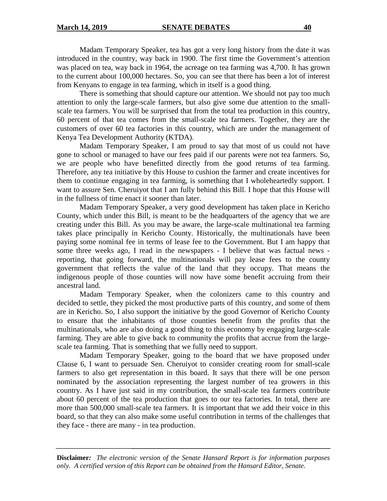Madam Temporary Speaker, tea has got a very long history from the date it was introduced in the country, way back in 1900. The first time the Government's attention was placed on tea, way back in 1964, the acreage on tea farming was 4,700. It has grown to the current about 100,000 hectares. So, you can see that there has been a lot of interest from Kenyans to engage in tea farming, which in itself is a good thing.

There is something that should capture our attention. We should not pay too much attention to only the large-scale farmers, but also give some due attention to the smallscale tea farmers. You will be surprised that from the total tea production in this country, 60 percent of that tea comes from the small-scale tea farmers. Together, they are the customers of over 60 tea factories in this country, which are under the management of Kenya Tea Development Authority (KTDA).

Madam Temporary Speaker, I am proud to say that most of us could not have gone to school or managed to have our fees paid if our parents were not tea farmers. So, we are people who have benefitted directly from the good returns of tea farming. Therefore, any tea initiative by this House to cushion the farmer and create incentives for them to continue engaging in tea farming, is something that I wholeheartedly support. I want to assure Sen. Cheruiyot that I am fully behind this Bill. I hope that this House will in the fullness of time enact it sooner than later.

Madam Temporary Speaker, a very good development has taken place in Kericho County, which under this Bill, is meant to be the headquarters of the agency that we are creating under this Bill. As you may be aware, the large-scale multinational tea farming takes place principally in Kericho County. Historically, the multinationals have been paying some nominal fee in terms of lease fee to the Government. But I am happy that some three weeks ago, I read in the newspapers - I believe that was factual news reporting, that going forward, the multinationals will pay lease fees to the county government that reflects the value of the land that they occupy. That means the indigenous people of those counties will now have some benefit accruing from their ancestral land.

Madam Temporary Speaker, when the colonizers came to this country and decided to settle, they picked the most productive parts of this country, and some of them are in Kericho. So, I also support the initiative by the good Governor of Kericho County to ensure that the inhabitants of those counties benefit from the profits that the multinationals, who are also doing a good thing to this economy by engaging large-scale farming. They are able to give back to community the profits that accrue from the largescale tea farming. That is something that we fully need to support.

Madam Temporary Speaker, going to the board that we have proposed under Clause 6, I want to persuade Sen. Cheruiyot to consider creating room for small-scale farmers to also get representation in this board. It says that there will be one person nominated by the association representing the largest number of tea growers in this country. As I have just said in my contribution, the small-scale tea farmers contribute about 60 percent of the tea production that goes to our tea factories. In total, there are more than 500,000 small-scale tea farmers. It is important that we add their voice in this board, so that they can also make some useful contribution in terms of the challenges that they face - there are many - in tea production.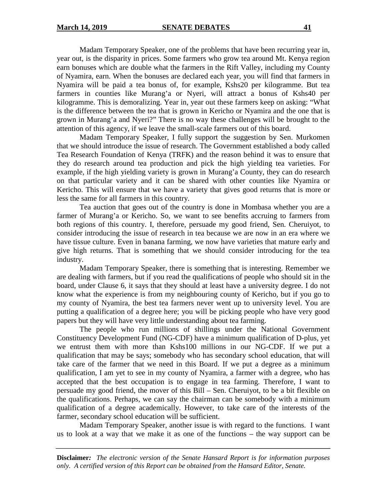Madam Temporary Speaker, one of the problems that have been recurring year in, year out, is the disparity in prices. Some farmers who grow tea around Mt. Kenya region earn bonuses which are double what the farmers in the Rift Valley, including my County of Nyamira, earn. When the bonuses are declared each year, you will find that farmers in Nyamira will be paid a tea bonus of, for example, Kshs20 per kilogramme. But tea farmers in counties like Murang'a or Nyeri, will attract a bonus of Kshs40 per kilogramme. This is demoralizing. Year in, year out these farmers keep on asking: "What is the difference between the tea that is grown in Kericho or Nyamira and the one that is grown in Murang'a and Nyeri?" There is no way these challenges will be brought to the attention of this agency, if we leave the small-scale farmers out of this board.

Madam Temporary Speaker, I fully support the suggestion by Sen. Murkomen that we should introduce the issue of research. The Government established a body called Tea Research Foundation of Kenya (TRFK) and the reason behind it was to ensure that they do research around tea production and pick the high yielding tea varieties. For example, if the high yielding variety is grown in Murang'a County, they can do research on that particular variety and it can be shared with other counties like Nyamira or Kericho. This will ensure that we have a variety that gives good returns that is more or less the same for all farmers in this country.

Tea auction that goes out of the country is done in Mombasa whether you are a farmer of Murang'a or Kericho. So, we want to see benefits accruing to farmers from both regions of this country. I, therefore, persuade my good friend, Sen. Cheruiyot, to consider introducing the issue of research in tea because we are now in an era where we have tissue culture. Even in banana farming, we now have varieties that mature early and give high returns. That is something that we should consider introducing for the tea industry.

Madam Temporary Speaker, there is something that is interesting. Remember we are dealing with farmers, but if you read the qualifications of people who should sit in the board, under Clause 6, it says that they should at least have a university degree. I do not know what the experience is from my neighbouring county of Kericho, but if you go to my county of Nyamira, the best tea farmers never went up to university level. You are putting a qualification of a degree here; you will be picking people who have very good papers but they will have very little understanding about tea farming.

The people who run millions of shillings under the National Government Constituency Development Fund (NG-CDF) have a minimum qualification of D-plus, yet we entrust them with more than Kshs100 millions in our NG-CDF. If we put a qualification that may be says; somebody who has secondary school education, that will take care of the farmer that we need in this Board. If we put a degree as a minimum qualification, I am yet to see in my county of Nyamira, a farmer with a degree, who has accepted that the best occupation is to engage in tea farming. Therefore, I want to persuade my good friend, the mover of this Bill – Sen. Cheruiyot, to be a bit flexible on the qualifications. Perhaps, we can say the chairman can be somebody with a minimum qualification of a degree academically. However, to take care of the interests of the farmer, secondary school education will be sufficient.

Madam Temporary Speaker, another issue is with regard to the functions. I want us to look at a way that we make it as one of the functions – the way support can be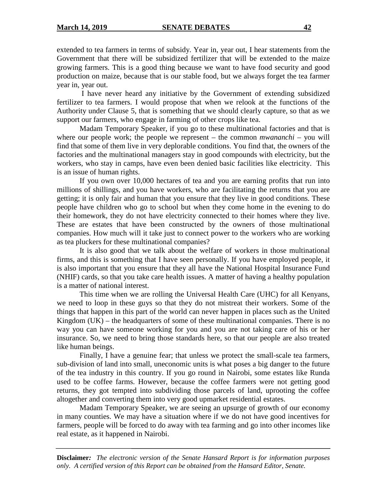extended to tea farmers in terms of subsidy. Year in, year out, I hear statements from the Government that there will be subsidized fertilizer that will be extended to the maize growing farmers. This is a good thing because we want to have food security and good production on maize, because that is our stable food, but we always forget the tea farmer year in, year out.

 I have never heard any initiative by the Government of extending subsidized fertilizer to tea farmers. I would propose that when we relook at the functions of the Authority under Clause 5, that is something that we should clearly capture, so that as we support our farmers, who engage in farming of other crops like tea.

Madam Temporary Speaker, if you go to these multinational factories and that is where our people work; the people we represent – the common *mwananchi –* you will find that some of them live in very deplorable conditions. You find that, the owners of the factories and the multinational managers stay in good compounds with electricity, but the workers, who stay in camps, have even been denied basic facilities like electricity. This is an issue of human rights.

If you own over 10,000 hectares of tea and you are earning profits that run into millions of shillings, and you have workers, who are facilitating the returns that you are getting; it is only fair and human that you ensure that they live in good conditions. These people have children who go to school but when they come home in the evening to do their homework, they do not have electricity connected to their homes where they live. These are estates that have been constructed by the owners of those multinational companies. How much will it take just to connect power to the workers who are working as tea pluckers for these multinational companies?

It is also good that we talk about the welfare of workers in those multinational firms, and this is something that I have seen personally. If you have employed people, it is also important that you ensure that they all have the National Hospital Insurance Fund (NHIF) cards, so that you take care health issues. A matter of having a healthy population is a matter of national interest.

This time when we are rolling the Universal Health Care (UHC) for all Kenyans, we need to loop in these guys so that they do not mistreat their workers. Some of the things that happen in this part of the world can never happen in places such as the United Kingdom  $(UK)$  – the headquarters of some of these multinational companies. There is no way you can have someone working for you and you are not taking care of his or her insurance. So, we need to bring those standards here, so that our people are also treated like human beings.

Finally, I have a genuine fear; that unless we protect the small-scale tea farmers, sub-division of land into small, uneconomic units is what poses a big danger to the future of the tea industry in this country. If you go round in Nairobi, some estates like Runda used to be coffee farms. However, because the coffee farmers were not getting good returns, they got tempted into subdividing those parcels of land, uprooting the coffee altogether and converting them into very good upmarket residential estates.

Madam Temporary Speaker, we are seeing an upsurge of growth of our economy in many counties. We may have a situation where if we do not have good incentives for farmers, people will be forced to do away with tea farming and go into other incomes like real estate, as it happened in Nairobi.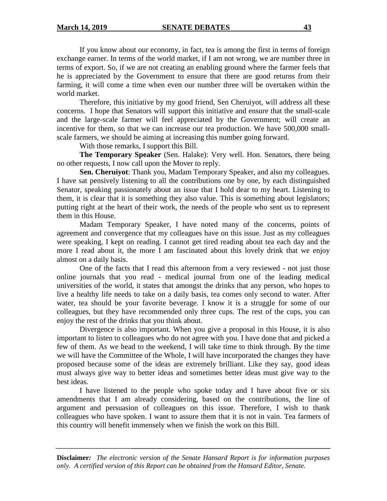If you know about our economy, in fact, tea is among the first in terms of foreign exchange earner. In terms of the world market, if I am not wrong, we are number three in terms of export. So, if we are not creating an enabling ground where the farmer feels that he is appreciated by the Government to ensure that there are good returns from their farming, it will come a time when even our number three will be overtaken within the world market.

Therefore, this initiative by my good friend, Sen Cheruiyot, will address all these concerns. I hope that Senators will support this initiative and ensure that the small-scale and the large-scale farmer will feel appreciated by the Government; will create an incentive for them, so that we can increase our tea production. We have 500,000 smallscale farmers, we should be aiming at increasing this number going forward.

With those remarks, I support this Bill.

**The Temporary Speaker** (Sen. Halake): Very well. Hon. Senators, there being no other requests, I now call upon the Mover to reply.

**Sen. Cheruiyot**: Thank you, Madam Temporary Speaker, and also my colleagues. I have sat pensively listening to all the contributions one by one, by each distinguished Senator, speaking passionately about an issue that I hold dear to my heart. Listening to them, it is clear that it is something they also value. This is something about legislators; putting right at the heart of their work, the needs of the people who sent us to represent them in this House.

Madam Temporary Speaker, I have noted many of the concerns, points of agreement and convergence that my colleagues have on this issue. Just as my colleagues were speaking, I kept on reading. I cannot get tired reading about tea each day and the more I read about it, the more I am fascinated about this lovely drink that we enjoy almost on a daily basis.

One of the facts that I read this afternoon from a very reviewed - not just those online journals that you read - medical journal from one of the leading medical universities of the world, it states that amongst the drinks that any person, who hopes to live a healthy life needs to take on a daily basis, tea comes only second to water. After water, tea should be your favorite beverage. I know it is a struggle for some of our colleagues, but they have recommended only three cups. The rest of the cups, you can enjoy the rest of the drinks that you think about.

Divergence is also important. When you give a proposal in this House, it is also important to listen to colleagues who do not agree with you. I have done that and picked a few of them. As we head to the weekend, I will take time to think through. By the time we will have the Committee of the Whole, I will have incorporated the changes they have proposed because some of the ideas are extremely brilliant. Like they say, good ideas must always give way to better ideas and sometimes better ideas must give way to the best ideas.

 I have listened to the people who spoke today and I have about five or six amendments that I am already considering, based on the contributions, the line of argument and persuasion of colleagues on this issue. Therefore, I wish to thank colleagues who have spoken. I want to assure them that it is not in vain. Tea farmers of this country will benefit immensely when we finish the work on this Bill.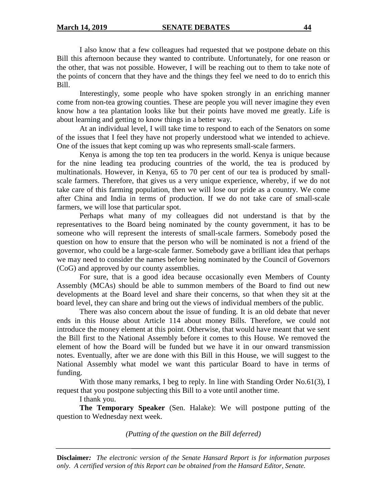I also know that a few colleagues had requested that we postpone debate on this Bill this afternoon because they wanted to contribute. Unfortunately, for one reason or the other, that was not possible. However, I will be reaching out to them to take note of the points of concern that they have and the things they feel we need to do to enrich this Bill.

 Interestingly, some people who have spoken strongly in an enriching manner come from non-tea growing counties. These are people you will never imagine they even know how a tea plantation looks like but their points have moved me greatly. Life is about learning and getting to know things in a better way.

 At an individual level, I will take time to respond to each of the Senators on some of the issues that I feel they have not properly understood what we intended to achieve. One of the issues that kept coming up was who represents small-scale farmers.

Kenya is among the top ten tea producers in the world. Kenya is unique because for the nine leading tea producing countries of the world, the tea is produced by multinationals. However, in Kenya, 65 to 70 per cent of our tea is produced by smallscale farmers. Therefore, that gives us a very unique experience, whereby, if we do not take care of this farming population, then we will lose our pride as a country. We come after China and India in terms of production. If we do not take care of small-scale farmers, we will lose that particular spot.

Perhaps what many of my colleagues did not understand is that by the representatives to the Board being nominated by the county government, it has to be someone who will represent the interests of small-scale farmers. Somebody posed the question on how to ensure that the person who will be nominated is not a friend of the governor, who could be a large-scale farmer. Somebody gave a brilliant idea that perhaps we may need to consider the names before being nominated by the Council of Governors (CoG) and approved by our county assemblies.

For sure, that is a good idea because occasionally even Members of County Assembly (MCAs) should be able to summon members of the Board to find out new developments at the Board level and share their concerns, so that when they sit at the board level, they can share and bring out the views of individual members of the public.

There was also concern about the issue of funding. It is an old debate that never ends in this House about Article 114 about money Bills. Therefore, we could not introduce the money element at this point. Otherwise, that would have meant that we sent the Bill first to the National Assembly before it comes to this House. We removed the element of how the Board will be funded but we have it in our onward transmission notes. Eventually, after we are done with this Bill in this House, we will suggest to the National Assembly what model we want this particular Board to have in terms of funding.

With those many remarks, I beg to reply. In line with Standing Order No.61(3), I request that you postpone subjecting this Bill to a vote until another time.

I thank you.

**The Temporary Speaker** (Sen. Halake): We will postpone putting of the question to Wednesday next week.

*(Putting of the question on the Bill deferred)*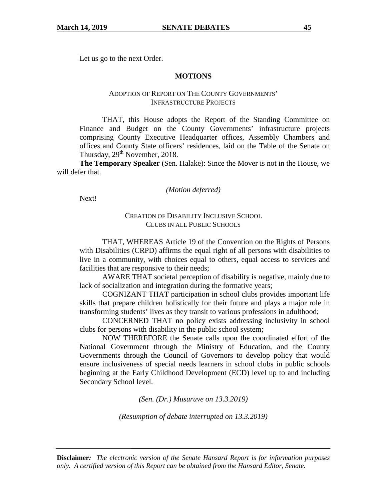Let us go to the next Order.

#### **MOTIONS**

### ADOPTION OF REPORT ON THE COUNTY GOVERNMENTS' INFRASTRUCTURE PROJECTS

THAT, this House adopts the Report of the Standing Committee on Finance and Budget on the County Governments' infrastructure projects comprising County Executive Headquarter offices, Assembly Chambers and offices and County State officers' residences, laid on the Table of the Senate on Thursday,  $29<sup>th</sup>$  November, 2018.

**The Temporary Speaker** (Sen. Halake): Since the Mover is not in the House, we will defer that.

*(Motion deferred)* 

Next!

### CREATION OF DISABILITY INCLUSIVE SCHOOL CLUBS IN ALL PUBLIC SCHOOLS

THAT, WHEREAS Article 19 of the Convention on the Rights of Persons with Disabilities (CRPD) affirms the equal right of all persons with disabilities to live in a community, with choices equal to others, equal access to services and facilities that are responsive to their needs;

AWARE THAT societal perception of disability is negative, mainly due to lack of socialization and integration during the formative years;

COGNIZANT THAT participation in school clubs provides important life skills that prepare children holistically for their future and plays a major role in transforming students' lives as they transit to various professions in adulthood;

CONCERNED THAT no policy exists addressing inclusivity in school clubs for persons with disability in the public school system;

NOW THEREFORE the Senate calls upon the coordinated effort of the National Government through the Ministry of Education, and the County Governments through the Council of Governors to develop policy that would ensure inclusiveness of special needs learners in school clubs in public schools beginning at the Early Childhood Development (ECD) level up to and including Secondary School level.

*(Sen. (Dr.) Musuruve on 13.3.2019)* 

*(Resumption of debate interrupted on 13.3.2019)*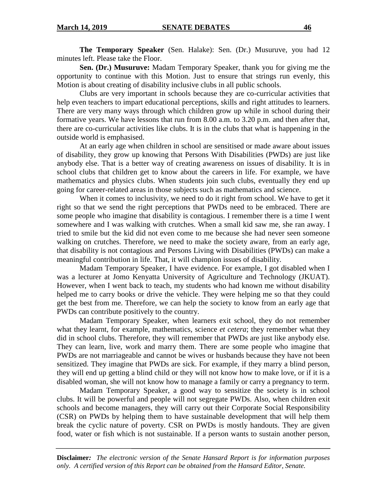**The Temporary Speaker** (Sen. Halake): Sen. (Dr.) Musuruve, you had 12 minutes left. Please take the Floor.

**Sen. (Dr.) Musuruve:** Madam Temporary Speaker, thank you for giving me the opportunity to continue with this Motion. Just to ensure that strings run evenly, this Motion is about creating of disability inclusive clubs in all public schools.

Clubs are very important in schools because they are co-curricular activities that help even teachers to impart educational perceptions, skills and right attitudes to learners. There are very many ways through which children grow up while in school during their formative years. We have lessons that run from 8.00 a.m. to 3.20 p.m. and then after that, there are co-curricular activities like clubs. It is in the clubs that what is happening in the outside world is emphasised.

At an early age when children in school are sensitised or made aware about issues of disability, they grow up knowing that Persons With Disabilities (PWDs) are just like anybody else. That is a better way of creating awareness on issues of disability. It is in school clubs that children get to know about the careers in life. For example, we have mathematics and physics clubs. When students join such clubs, eventually they end up going for career-related areas in those subjects such as mathematics and science.

When it comes to inclusivity, we need to do it right from school. We have to get it right so that we send the right perceptions that PWDs need to be embraced. There are some people who imagine that disability is contagious. I remember there is a time I went somewhere and I was walking with crutches. When a small kid saw me, she ran away. I tried to smile but the kid did not even come to me because she had never seen someone walking on crutches. Therefore, we need to make the society aware, from an early age, that disability is not contagious and Persons Living with Disabilities (PWDs) can make a meaningful contribution in life. That, it will champion issues of disability.

Madam Temporary Speaker, I have evidence. For example, I got disabled when I was a lecturer at Jomo Kenyatta University of Agriculture and Technology (JKUAT). However, when I went back to teach, my students who had known me without disability helped me to carry books or drive the vehicle. They were helping me so that they could get the best from me. Therefore, we can help the society to know from an early age that PWDs can contribute positively to the country.

Madam Temporary Speaker, when learners exit school, they do not remember what they learnt, for example, mathematics, science *et cetera*; they remember what they did in school clubs. Therefore, they will remember that PWDs are just like anybody else. They can learn, live, work and marry them. There are some people who imagine that PWDs are not marriageable and cannot be wives or husbands because they have not been sensitized. They imagine that PWDs are sick. For example, if they marry a blind person, they will end up getting a blind child or they will not know how to make love, or if it is a disabled woman, she will not know how to manage a family or carry a pregnancy to term.

Madam Temporary Speaker, a good way to sensitize the society is in school clubs. It will be powerful and people will not segregate PWDs. Also, when children exit schools and become managers, they will carry out their Corporate Social Responsibility (CSR) on PWDs by helping them to have sustainable development that will help them break the cyclic nature of poverty. CSR on PWDs is mostly handouts. They are given food, water or fish which is not sustainable. If a person wants to sustain another person,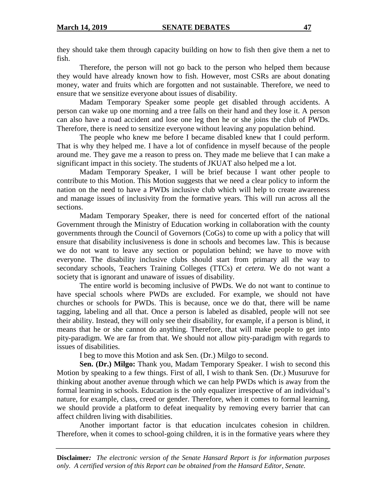they should take them through capacity building on how to fish then give them a net to fish.

Therefore, the person will not go back to the person who helped them because they would have already known how to fish. However, most CSRs are about donating money, water and fruits which are forgotten and not sustainable. Therefore, we need to ensure that we sensitize everyone about issues of disability.

Madam Temporary Speaker some people get disabled through accidents. A person can wake up one morning and a tree falls on their hand and they lose it. A person can also have a road accident and lose one leg then he or she joins the club of PWDs. Therefore, there is need to sensitize everyone without leaving any population behind.

The people who knew me before I became disabled knew that I could perform. That is why they helped me. I have a lot of confidence in myself because of the people around me. They gave me a reason to press on. They made me believe that I can make a significant impact in this society. The students of JKUAT also helped me a lot.

Madam Temporary Speaker, I will be brief because I want other people to contribute to this Motion. This Motion suggests that we need a clear policy to inform the nation on the need to have a PWDs inclusive club which will help to create awareness and manage issues of inclusivity from the formative years. This will run across all the sections.

Madam Temporary Speaker, there is need for concerted effort of the national Government through the Ministry of Education working in collaboration with the county governments through the Council of Governors (CoGs) to come up with a policy that will ensure that disability inclusiveness is done in schools and becomes law. This is because we do not want to leave any section or population behind; we have to move with everyone. The disability inclusive clubs should start from primary all the way to secondary schools, Teachers Training Colleges (TTCs) *et cetera.* We do not want a society that is ignorant and unaware of issues of disability.

The entire world is becoming inclusive of PWDs. We do not want to continue to have special schools where PWDs are excluded. For example, we should not have churches or schools for PWDs. This is because, once we do that, there will be name tagging, labeling and all that. Once a person is labeled as disabled, people will not see their ability. Instead, they will only see their disability, for example, if a person is blind, it means that he or she cannot do anything. Therefore, that will make people to get into pity-paradigm. We are far from that. We should not allow pity-paradigm with regards to issues of disabilities.

I beg to move this Motion and ask Sen. (Dr.) Milgo to second.

**Sen. (Dr.) Milgo:** Thank you, Madam Temporary Speaker. I wish to second this Motion by speaking to a few things. First of all, I wish to thank Sen. (Dr.) Musuruve for thinking about another avenue through which we can help PWDs which is away from the formal learning in schools. Education is the only equalizer irrespective of an individual's nature, for example, class, creed or gender. Therefore, when it comes to formal learning, we should provide a platform to defeat inequality by removing every barrier that can affect children living with disabilities.

Another important factor is that education inculcates cohesion in children. Therefore, when it comes to school-going children, it is in the formative years where they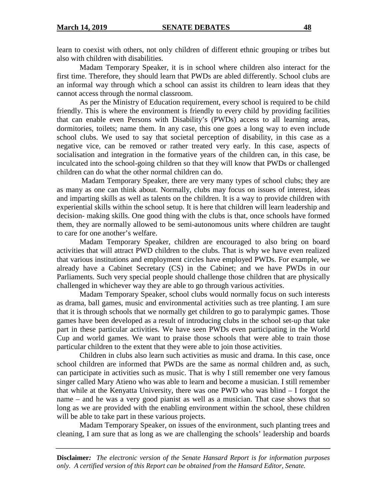learn to coexist with others, not only children of different ethnic grouping or tribes but also with children with disabilities.

Madam Temporary Speaker, it is in school where children also interact for the first time. Therefore, they should learn that PWDs are abled differently. School clubs are an informal way through which a school can assist its children to learn ideas that they cannot access through the normal classroom.

As per the Ministry of Education requirement, every school is required to be child friendly. This is where the environment is friendly to every child by providing facilities that can enable even Persons with Disability's (PWDs) access to all learning areas, dormitories, toilets; name them. In any case, this one goes a long way to even include school clubs. We used to say that societal perception of disability, in this case as a negative vice, can be removed or rather treated very early. In this case, aspects of socialisation and integration in the formative years of the children can, in this case, be inculcated into the school-going children so that they will know that PWDs or challenged children can do what the other normal children can do.

 Madam Temporary Speaker, there are very many types of school clubs; they are as many as one can think about. Normally, clubs may focus on issues of interest, ideas and imparting skills as well as talents on the children. It is a way to provide children with experiential skills within the school setup. It is here that children will learn leadership and decision- making skills. One good thing with the clubs is that, once schools have formed them, they are normally allowed to be semi-autonomous units where children are taught to care for one another's welfare.

Madam Temporary Speaker, children are encouraged to also bring on board activities that will attract PWD children to the clubs. That is why we have even realized that various institutions and employment circles have employed PWDs. For example, we already have a Cabinet Secretary (CS) in the Cabinet; and we have PWDs in our Parliaments. Such very special people should challenge those children that are physically challenged in whichever way they are able to go through various activities.

 Madam Temporary Speaker, school clubs would normally focus on such interests as drama, ball games, music and environmental activities such as tree planting. I am sure that it is through schools that we normally get children to go to paralympic games. Those games have been developed as a result of introducing clubs in the school set-up that take part in these particular activities. We have seen PWDs even participating in the World Cup and world games. We want to praise those schools that were able to train those particular children to the extent that they were able to join those activities.

 Children in clubs also learn such activities as music and drama. In this case, once school children are informed that PWDs are the same as normal children and, as such, can participate in activities such as music. That is why I still remember one very famous singer called Mary Atieno who was able to learn and become a musician. I still remember that while at the Kenyatta University, there was one PWD who was blind – I forgot the name – and he was a very good pianist as well as a musician. That case shows that so long as we are provided with the enabling environment within the school, these children will be able to take part in these various projects.

 Madam Temporary Speaker, on issues of the environment, such planting trees and cleaning, I am sure that as long as we are challenging the schools' leadership and boards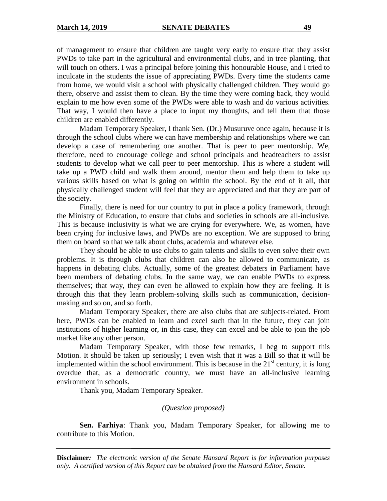of management to ensure that children are taught very early to ensure that they assist PWDs to take part in the agricultural and environmental clubs, and in tree planting, that will touch on others. I was a principal before joining this honourable House, and I tried to inculcate in the students the issue of appreciating PWDs. Every time the students came from home, we would visit a school with physically challenged children. They would go there, observe and assist them to clean. By the time they were coming back, they would explain to me how even some of the PWDs were able to wash and do various activities. That way, I would then have a place to input my thoughts, and tell them that those children are enabled differently.

 Madam Temporary Speaker, I thank Sen. (Dr.) Musuruve once again, because it is through the school clubs where we can have membership and relationships where we can develop a case of remembering one another. That is peer to peer mentorship. We, therefore, need to encourage college and school principals and headteachers to assist students to develop what we call peer to peer mentorship. This is where a student will take up a PWD child and walk them around, mentor them and help them to take up various skills based on what is going on within the school. By the end of it all, that physically challenged student will feel that they are appreciated and that they are part of the society.

Finally, there is need for our country to put in place a policy framework, through the Ministry of Education, to ensure that clubs and societies in schools are all-inclusive. This is because inclusivity is what we are crying for everywhere. We, as women, have been crying for inclusive laws, and PWDs are no exception. We are supposed to bring them on board so that we talk about clubs, academia and whatever else.

They should be able to use clubs to gain talents and skills to even solve their own problems. It is through clubs that children can also be allowed to communicate, as happens in debating clubs. Actually, some of the greatest debaters in Parliament have been members of debating clubs. In the same way, we can enable PWDs to express themselves; that way, they can even be allowed to explain how they are feeling. It is through this that they learn problem-solving skills such as communication, decisionmaking and so on, and so forth.

Madam Temporary Speaker, there are also clubs that are subjects-related. From here, PWDs can be enabled to learn and excel such that in the future, they can join institutions of higher learning or, in this case, they can excel and be able to join the job market like any other person.

Madam Temporary Speaker, with those few remarks, I beg to support this Motion. It should be taken up seriously; I even wish that it was a Bill so that it will be implemented within the school environment. This is because in the  $21<sup>st</sup>$  century, it is long overdue that, as a democratic country, we must have an all-inclusive learning environment in schools.

Thank you, Madam Temporary Speaker.

### *(Question proposed)*

**Sen. Farhiya**: Thank you, Madam Temporary Speaker, for allowing me to contribute to this Motion.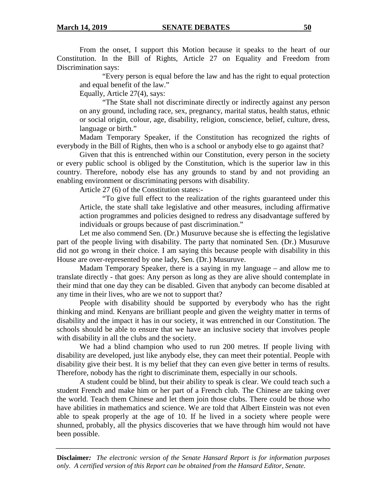From the onset, I support this Motion because it speaks to the heart of our Constitution. In the Bill of Rights, Article 27 on Equality and Freedom from Discrimination says:

"Every person is equal before the law and has the right to equal protection and equal benefit of the law."

Equally, Article 27(4), says:

"The State shall not discriminate directly or indirectly against any person on any ground, including race, sex, pregnancy, marital status, health status, ethnic or social origin, colour, age, disability, religion, conscience, belief, culture, dress, language or birth."

Madam Temporary Speaker, if the Constitution has recognized the rights of everybody in the Bill of Rights, then who is a school or anybody else to go against that?

Given that this is entrenched within our Constitution, every person in the society or every public school is obliged by the Constitution, which is the superior law in this country. Therefore, nobody else has any grounds to stand by and not providing an enabling environment or discriminating persons with disability.

Article 27 (6) of the Constitution states:-

"To give full effect to the realization of the rights guaranteed under this Article, the state shall take legislative and other measures, including affirmative action programmes and policies designed to redress any disadvantage suffered by individuals or groups because of past discrimination."

Let me also commend Sen. (Dr.) Musuruve because she is effecting the legislative part of the people living with disability. The party that nominated Sen. (Dr.) Musuruve did not go wrong in their choice. I am saying this because people with disability in this House are over-represented by one lady, Sen. (Dr.) Musuruve.

Madam Temporary Speaker, there is a saying in my language – and allow me to translate directly - that goes: Any person as long as they are alive should contemplate in their mind that one day they can be disabled. Given that anybody can become disabled at any time in their lives, who are we not to support that?

People with disability should be supported by everybody who has the right thinking and mind. Kenyans are brilliant people and given the weighty matter in terms of disability and the impact it has in our society, it was entrenched in our Constitution. The schools should be able to ensure that we have an inclusive society that involves people with disability in all the clubs and the society.

We had a blind champion who used to run 200 metres. If people living with disability are developed, just like anybody else, they can meet their potential. People with disability give their best. It is my belief that they can even give better in terms of results. Therefore, nobody has the right to discriminate them, especially in our schools.

A student could be blind, but their ability to speak is clear. We could teach such a student French and make him or her part of a French club. The Chinese are taking over the world. Teach them Chinese and let them join those clubs. There could be those who have abilities in mathematics and science. We are told that Albert Einstein was not even able to speak properly at the age of 10. If he lived in a society where people were shunned, probably, all the physics discoveries that we have through him would not have been possible.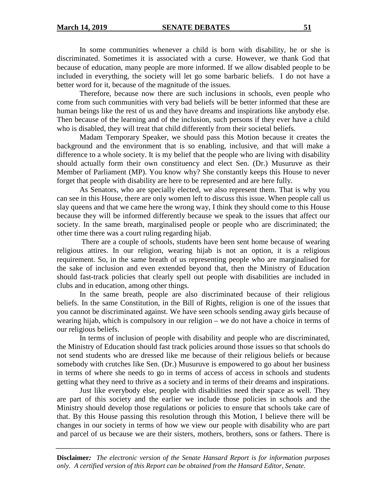In some communities whenever a child is born with disability, he or she is discriminated. Sometimes it is associated with a curse. However, we thank God that because of education, many people are more informed. If we allow disabled people to be included in everything, the society will let go some barbaric beliefs. I do not have a better word for it, because of the magnitude of the issues.

Therefore, because now there are such inclusions in schools, even people who come from such communities with very bad beliefs will be better informed that these are human beings like the rest of us and they have dreams and inspirations like anybody else. Then because of the learning and of the inclusion, such persons if they ever have a child who is disabled, they will treat that child differently from their societal beliefs.

 Madam Temporary Speaker, we should pass this Motion because it creates the background and the environment that is so enabling, inclusive, and that will make a difference to a whole society. It is my belief that the people who are living with disability should actually form their own constituency and elect Sen. (Dr.) Musuruve as their Member of Parliament (MP). You know why? She constantly keeps this House to never forget that people with disability are here to be represented and are here fully.

 As Senators, who are specially elected, we also represent them. That is why you can see in this House, there are only women left to discuss this issue. When people call us slay queens and that we came here the wrong way, I think they should come to this House because they will be informed differently because we speak to the issues that affect our society. In the same breath, marginalised people or people who are discriminated; the other time there was a court ruling regarding hijab.

 There are a couple of schools, students have been sent home because of wearing religious attires. In our religion, wearing hijab is not an option, it is a religious requirement. So, in the same breath of us representing people who are marginalised for the sake of inclusion and even extended beyond that, then the Ministry of Education should fast-track policies that clearly spell out people with disabilities are included in clubs and in education, among other things.

In the same breath, people are also discriminated because of their religious beliefs. In the same Constitution, in the Bill of Rights, religion is one of the issues that you cannot be discriminated against. We have seen schools sending away girls because of wearing hijab, which is compulsory in our religion – we do not have a choice in terms of our religious beliefs.

In terms of inclusion of people with disability and people who are discriminated, the Ministry of Education should fast track policies around those issues so that schools do not send students who are dressed like me because of their religious beliefs or because somebody with crutches like Sen. (Dr.) Musuruve is empowered to go about her business in terms of where she needs to go in terms of access of access in schools and students getting what they need to thrive as a society and in terms of their dreams and inspirations.

Just like everybody else, people with disabilities need their space as well. They are part of this society and the earlier we include those policies in schools and the Ministry should develop those regulations or policies to ensure that schools take care of that. By this House passing this resolution through this Motion, I believe there will be changes in our society in terms of how we view our people with disability who are part and parcel of us because we are their sisters, mothers, brothers, sons or fathers. There is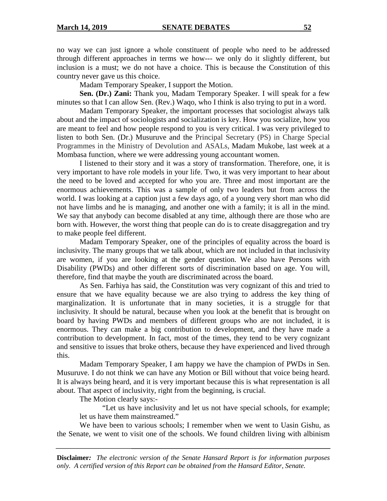no way we can just ignore a whole constituent of people who need to be addressed through different approaches in terms we how--- we only do it slightly different, but inclusion is a must; we do not have a choice. This is because the Constitution of this country never gave us this choice.

Madam Temporary Speaker, I support the Motion.

**Sen. (Dr.) Zani:** Thank you, Madam Temporary Speaker. I will speak for a few minutes so that I can allow Sen. (Rev.) Waqo, who I think is also trying to put in a word.

Madam Temporary Speaker, the important processes that sociologist always talk about and the impact of sociologists and socialization is key. How you socialize, how you are meant to feel and how people respond to you is very critical. I was very privileged to listen to both Sen. (Dr.) Musuruve and the Principal Secretary (PS) in Charge Special Programmes in the Ministry of Devolution and ASALs, Madam Mukobe, last week at a Mombasa function, where we were addressing young accountant women.

I listened to their story and it was a story of transformation. Therefore, one, it is very important to have role models in your life. Two, it was very important to hear about the need to be loved and accepted for who you are. Three and most important are the enormous achievements. This was a sample of only two leaders but from across the world. I was looking at a caption just a few days ago, of a young very short man who did not have limbs and he is managing, and another one with a family; it is all in the mind. We say that anybody can become disabled at any time, although there are those who are born with. However, the worst thing that people can do is to create disaggregation and try to make people feel different.

Madam Temporary Speaker, one of the principles of equality across the board is inclusivity. The many groups that we talk about, which are not included in that inclusivity are women, if you are looking at the gender question. We also have Persons with Disability (PWDs) and other different sorts of discrimination based on age. You will, therefore, find that maybe the youth are discriminated across the board.

As Sen. Farhiya has said, the Constitution was very cognizant of this and tried to ensure that we have equality because we are also trying to address the key thing of marginalization. It is unfortunate that in many societies, it is a struggle for that inclusivity. It should be natural, because when you look at the benefit that is brought on board by having PWDs and members of different groups who are not included, it is enormous. They can make a big contribution to development, and they have made a contribution to development. In fact, most of the times, they tend to be very cognizant and sensitive to issues that broke others, because they have experienced and lived through this.

Madam Temporary Speaker, I am happy we have the champion of PWDs in Sen. Musuruve. I do not think we can have any Motion or Bill without that voice being heard. It is always being heard, and it is very important because this is what representation is all about. That aspect of inclusivity, right from the beginning, is crucial.

The Motion clearly says:-

"Let us have inclusivity and let us not have special schools, for example; let us have them mainstreamed."

We have been to various schools; I remember when we went to Uasin Gishu, as the Senate, we went to visit one of the schools. We found children living with albinism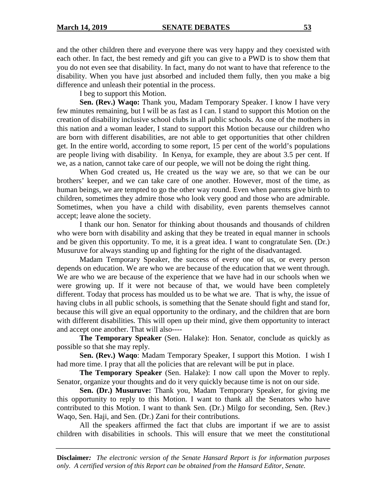and the other children there and everyone there was very happy and they coexisted with each other. In fact, the best remedy and gift you can give to a PWD is to show them that you do not even see that disability. In fact, many do not want to have that reference to the disability. When you have just absorbed and included them fully, then you make a big difference and unleash their potential in the process.

I beg to support this Motion.

**Sen. (Rev.) Waqo:** Thank you, Madam Temporary Speaker. I know I have very few minutes remaining, but I will be as fast as I can. I stand to support this Motion on the creation of disability inclusive school clubs in all public schools. As one of the mothers in this nation and a woman leader, I stand to support this Motion because our children who are born with different disabilities, are not able to get opportunities that other children get. In the entire world, according to some report, 15 per cent of the world's populations are people living with disability. In Kenya, for example, they are about 3.5 per cent. If we, as a nation, cannot take care of our people, we will not be doing the right thing.

When God created us, He created us the way we are, so that we can be our brothers' keeper, and we can take care of one another. However, most of the time, as human beings, we are tempted to go the other way round. Even when parents give birth to children, sometimes they admire those who look very good and those who are admirable. Sometimes, when you have a child with disability, even parents themselves cannot accept; leave alone the society.

I thank our hon. Senator for thinking about thousands and thousands of children who were born with disability and asking that they be treated in equal manner in schools and be given this opportunity. To me, it is a great idea. I want to congratulate Sen. (Dr.) Musuruve for always standing up and fighting for the right of the disadvantaged.

Madam Temporary Speaker, the success of every one of us, or every person depends on education. We are who we are because of the education that we went through. We are who we are because of the experience that we have had in our schools when we were growing up. If it were not because of that, we would have been completely different. Today that process has moulded us to be what we are. That is why, the issue of having clubs in all public schools, is something that the Senate should fight and stand for, because this will give an equal opportunity to the ordinary, and the children that are born with different disabilities. This will open up their mind, give them opportunity to interact and accept one another. That will also----

**The Temporary Speaker** (Sen. Halake): Hon. Senator, conclude as quickly as possible so that she may reply.

**Sen. (Rev.) Waqo**: Madam Temporary Speaker, I support this Motion. I wish I had more time. I pray that all the policies that are relevant will be put in place.

**The Temporary Speaker** (Sen. Halake): I now call upon the Mover to reply. Senator, organize your thoughts and do it very quickly because time is not on our side.

**Sen. (Dr.) Musuruve:** Thank you, Madam Temporary Speaker, for giving me this opportunity to reply to this Motion. I want to thank all the Senators who have contributed to this Motion. I want to thank Sen. (Dr.) Milgo for seconding, Sen. (Rev.) Waqo, Sen. Haji, and Sen. (Dr.) Zani for their contributions.

All the speakers affirmed the fact that clubs are important if we are to assist children with disabilities in schools. This will ensure that we meet the constitutional